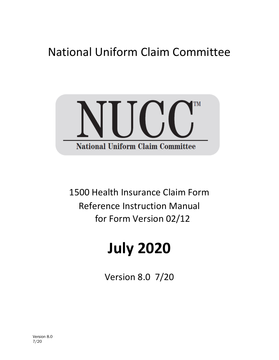## National Uniform Claim Committee



1500 Health Insurance Claim Form Reference Instruction Manual for Form Version 02/12

# **July 2020**

Version 8.0 7/20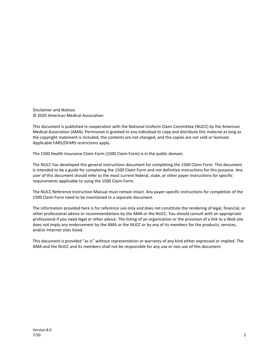Disclaimer and Notices © 2020 American Medical Association

This document is published in cooperation with the National Uniform Claim Committee (NUCC) by the American Medical Association (AMA). Permission is granted to any individual to copy and distribute this material as long as the copyright statement is included, the contents are not changed, and the copies are not sold or licensed. Applicable FARS/DFARS restrictions apply.

The 1500 Health Insurance Claim Form (1500 Claim Form) is in the public domain.

The NUCC has developed this general instructions document for completing the 1500 Claim Form. This document is intended to be a guide for completing the 1500 Claim Form and not definitive instructions for this purpose. Any user of this document should refer to the most current federal, state, or other payer instructions for specific requirements applicable to using the 1500 Claim Form.

The NUCC Reference Instruction Manual must remain intact. Any payer-specific instructions for completion of the 1500 Claim Form need to be maintained in a separate document.

The information provided here is for reference use only and does not constitute the rendering of legal, financial, or other professional advice or recommendations by the AMA or the NUCC. You should consult with an appropriate professional if you need legal or other advice. The listing of an organization or the provision of a link to a Web site does not imply any endorsement by the AMA or the NUCC or by any of its members for the products, services, and/or Internet sites listed.

This document is provided "as is" without representation or warranty of any kind either expressed or implied. The AMA and the NUCC and its members shall not be responsible for any use or non use of this document.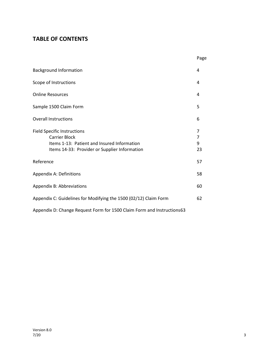## **TABLE OF CONTENTS**

|                                                                                                                                                            | Page              |
|------------------------------------------------------------------------------------------------------------------------------------------------------------|-------------------|
| <b>Background Information</b>                                                                                                                              | 4                 |
| Scope of Instructions                                                                                                                                      | 4                 |
| <b>Online Resources</b>                                                                                                                                    | 4                 |
| Sample 1500 Claim Form                                                                                                                                     | 5                 |
| <b>Overall Instructions</b>                                                                                                                                | 6                 |
| <b>Field Specific Instructions</b><br><b>Carrier Block</b><br>Items 1-13: Patient and Insured Information<br>Items 14-33: Provider or Supplier Information | 7<br>7<br>9<br>23 |
| Reference                                                                                                                                                  | 57                |
| Appendix A: Definitions                                                                                                                                    | 58                |
| Appendix B: Abbreviations                                                                                                                                  | 60                |
| Appendix C: Guidelines for Modifying the 1500 (02/12) Claim Form                                                                                           | 62                |
| Appendix D: Change Request Form for 1500 Claim Form and Instructions63                                                                                     |                   |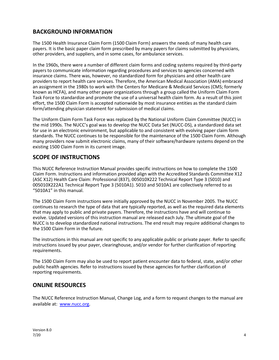## **BACKGROUND INFORMATION**

The 1500 Health Insurance Claim Form (1500 Claim Form) answers the needs of many health care payers. It is the basic paper claim form prescribed by many payers for claims submitted by physicians, other providers, and suppliers, and in some cases, for ambulance services.

In the 1960s, there were a number of different claim forms and coding systems required by third-party payers to communicate information regarding procedures and services to agencies concerned with insurance claims. There was, however, no standardized form for physicians and other health care providers to report health care services. Therefore, the American Medical Association (AMA) embraced an assignment in the 1980s to work with the Centers for Medicare & Medicaid Services (CMS; formerly known as HCFA), and many other payer organizations through a group called the Uniform Claim Form Task Force to standardize and promote the use of a universal health claim form. As a result of this joint effort, the 1500 Claim Form is accepted nationwide by most insurance entities as the standard claim form/attending physician statement for submission of medical claims.

The Uniform Claim Form Task Force was replaced by the National Uniform Claim Committee (NUCC) in the mid 1990s. The NUCC's goal was to develop the NUCC Data Set (NUCC-DS), a standardized data set for use in an electronic environment, but applicable to and consistent with evolving paper claim form standards. The NUCC continues to be responsible for the maintenance of the 1500 Claim Form. Although many providers now submit electronic claims, many of their software/hardware systems depend on the existing 1500 Claim Form in its current image.

## **SCOPE OF INSTRUCTIONS**

This NUCC Reference Instruction Manual provides specific instructions on how to complete the 1500 Claim Form. Instructions and information provided align with the Accredited Standards Committee X12 (ASC X12) Health Care Claim: Professional (837), 005010X222 Technical Report Type 3 (5010) and 005010X222A1 Technical Report Type 3 (5010A1). 5010 and 5010A1 are collectively referred to as "5010A1" in this manual.

The 1500 Claim Form instructions were initially approved by the NUCC in November 2005. The NUCC continues to research the type of data that are typically reported, as well as the required data elements that may apply to public and private payers. Therefore, the instructions have and will continue to evolve. Updated versions of this instruction manual are released each July. The ultimate goal of the NUCC is to develop standardized national instructions. The end result may require additional changes to the 1500 Claim Form in the future.

The instructions in this manual are not specific to any applicable public or private payer. Refer to specific instructions issued by your payer, clearinghouse, and/or vendor for further clarification of reporting requirements.

The 1500 Claim Form may also be used to report patient encounter data to federal, state, and/or other public health agencies. Refer to instructions issued by these agencies for further clarification of reporting requirements.

## **ONLINE RESOURCES**

The NUCC Reference Instruction Manual, Change Log, and a form to request changes to the manual are available at: [www.nucc.org.](http://www.nucc.org/)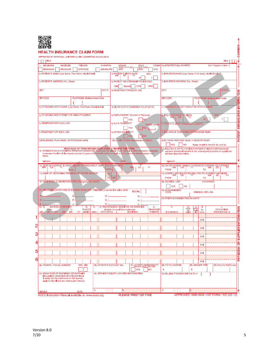

### **HEALTH INSURANCE CLAIM FORM**

#### APPROVED BY NATIONAL UNIFORM CLAIM COMMITTEE (NUCC) 02/12

| PICA                                                                                                                                         |                 |                                                          |                                           |                                      |                                              |                                  |                                    |                                                                                                                                        |                           |                               |                  | PICA                                     |  |
|----------------------------------------------------------------------------------------------------------------------------------------------|-----------------|----------------------------------------------------------|-------------------------------------------|--------------------------------------|----------------------------------------------|----------------------------------|------------------------------------|----------------------------------------------------------------------------------------------------------------------------------------|---------------------------|-------------------------------|------------------|------------------------------------------|--|
| <b>MEDICARE</b><br>1.                                                                                                                        | <b>MEDICAID</b> | <b>TRICARE</b>                                           | <b>CHAMPVA</b>                            |                                      | GROUP<br>HEALTH PLAN                         | FECA<br>BLK LUNG<br><i>(ID#)</i> |                                    | OTHER 1a. INSURED'S LD. NUMBER                                                                                                         |                           |                               |                  | (For Program in Item 1)                  |  |
| (Medicare#)<br>2. PATIENT'S NAME (Last Name, First Name, Middle Initial)                                                                     | (Medicaid#)     | (ID#/DoD#)                                               | (Member ID#)                              | (ID#)                                | 3. PATIENT'S BIRTH DATE                      |                                  | (1D#)<br><b>SEX</b>                | 4. INSURED'S NAME (Last Name, First Name, Middle Initial)                                                                              |                           |                               |                  |                                          |  |
|                                                                                                                                              |                 |                                                          |                                           |                                      |                                              |                                  | F                                  |                                                                                                                                        |                           |                               |                  |                                          |  |
| 5. PATIENT'S ADDRESS (No., Street)                                                                                                           |                 |                                                          |                                           | Sell                                 | 6. PATIENT RELATIONSHIP TO INSURED<br>Spouse | Child                            | Other                              | 7. INSURED'S ADDRESS (No., Street)                                                                                                     |                           |                               |                  |                                          |  |
| CITY                                                                                                                                         |                 |                                                          | <b>STATE</b>                              |                                      | 8. RESERVED FOR NUCC USE                     |                                  |                                    | CITY                                                                                                                                   |                           |                               |                  | <b>STATE</b>                             |  |
| <b>ZIP CODE</b>                                                                                                                              |                 | TELEPHONE (Include Area Code)                            |                                           |                                      |                                              |                                  |                                    | <b>ZIP CODE</b>                                                                                                                        |                           |                               |                  | <b>TELEPHONE</b> (Include Area Code)     |  |
|                                                                                                                                              |                 |                                                          |                                           |                                      |                                              |                                  |                                    |                                                                                                                                        |                           |                               |                  |                                          |  |
| 9. OTHER INSURED'S NAME (Last Name, First Name, Middle Initial)                                                                              |                 |                                                          |                                           |                                      | 10. IS PATIENT'S CONDITION RELATED TO:       |                                  |                                    | 11. INSURED'S POLICY GROUP OR FECA NUMBER                                                                                              |                           |                               |                  |                                          |  |
| a, OTHER INSURED'S POLICY OR GROUP NUMBER                                                                                                    |                 |                                                          |                                           |                                      | a. EMPLOYMENT? (Current or Previous)         |                                  |                                    | a. INSURED'S DATE OF BIRTH                                                                                                             |                           |                               |                  | <b>SEX</b>                               |  |
| b, RESERVED FOR NUCC USE                                                                                                                     |                 |                                                          |                                           | b. AUTO ACCIDENT?                    | ⁄ES                                          | NO                               |                                    |                                                                                                                                        |                           |                               | M.               | F                                        |  |
|                                                                                                                                              |                 |                                                          |                                           |                                      | YES                                          | <b>NO</b>                        | <b>PLACE (State)</b>               | b. OTHER CLAIM ID (Designated by NUCC)                                                                                                 |                           |                               |                  |                                          |  |
| c. RESERVED FOR NUCC USE                                                                                                                     |                 |                                                          |                                           | c. OTHER ACCIDENT?                   |                                              |                                  |                                    | c. INSURANCE PLAN NAME OR PROGRAM NAME                                                                                                 |                           |                               |                  |                                          |  |
| d. INSURANCE PLAN NAME OR PROGRAM NAME                                                                                                       |                 |                                                          |                                           |                                      | 10d, CLAIM CODES (Designated by NUCC)        | <b>NO</b>                        |                                    | d. IS THERE ANOTHER HEALTH BENEFIT PLAN?                                                                                               |                           |                               |                  |                                          |  |
|                                                                                                                                              |                 |                                                          |                                           |                                      |                                              |                                  |                                    | <b>YES</b>                                                                                                                             | <b>NO</b>                 |                               |                  | If yes, complete items 9, 9a, and 9d.    |  |
| 12. PATIENT'S OR AUTHORIZED PERSON'S SIGNATURE 1 authorize the release of any medical or other information necessary                         |                 | READ BACK OF FORM BEFORE COMPLETING & SIGNING THIS FORM. |                                           |                                      |                                              |                                  |                                    | 13. INSURED'S OR AUTHORIZED PERSON'S SIGNATURE I authorize<br>payment of medical benefits to the undersigned physician or supplier for |                           |                               |                  |                                          |  |
| to process this claim. I also request payment of government benefits either to myself or to the party who accepts assignment<br>below.       |                 |                                                          |                                           |                                      |                                              |                                  |                                    | services described below.                                                                                                              |                           |                               |                  |                                          |  |
| <b>SIGNED</b>                                                                                                                                |                 |                                                          |                                           | DATE                                 |                                              |                                  |                                    | <b>SIGNED</b>                                                                                                                          |                           |                               |                  |                                          |  |
| 14. DATE OF CURRENT ILLNESS, INJURY, or PREGNANCY (LMP)                                                                                      | QUAL            |                                                          | QUAL                                      | <b>15. OTHER DATE</b>                | <b>MN</b>                                    | DD                               | YY                                 | 16. DATES PATIENT UNABLE TO WORK IN CURRENT OCCUPATION<br><b>FROM</b>                                                                  |                           |                               | TO               |                                          |  |
| 17. NAME OF REFERRING PROVIDER OR OTHER SOURCE                                                                                               |                 |                                                          | 17a.                                      |                                      |                                              |                                  |                                    | 18. HOSPITALIZATION DATES RELATED TO CURRENT SERVICES WILL BE WANT TO DUIT                                                             |                           |                               |                  |                                          |  |
| 19. ADDITIONAL CLAIM INFORMATION (Designated by NUCC)                                                                                        |                 |                                                          | 17b.                                      | <b>NPI</b>                           |                                              |                                  |                                    | <b>FROM</b><br>20. OUTSIDE LAB?                                                                                                        |                           |                               | то<br>\$ CHARGES |                                          |  |
|                                                                                                                                              |                 |                                                          |                                           |                                      |                                              |                                  |                                    | <b>YES</b>                                                                                                                             | <b>NO</b>                 |                               |                  |                                          |  |
| 21. DIAGNOSIS OR NATURE OF ILLNESS OR INJURY Relate A-L to service line below (24E)                                                          |                 |                                                          |                                           |                                      | ICD Ind.                                     |                                  |                                    | 22. RESUBMISSION                                                                                                                       |                           | ORIGINAL REF. NO.             |                  |                                          |  |
| Ε                                                                                                                                            | в.<br>F.        |                                                          | c. I<br>G.                                |                                      |                                              | D.<br>н.                         |                                    | 23. PRIOR AUTHORIZATION NUMBER                                                                                                         |                           |                               |                  |                                          |  |
| 24. A.<br>DATE(S) OF SERVICE                                                                                                                 | J.              | в.                                                       | κ.<br>c.                                  | D. PROCEDURES, SERVICES, OR SUPPLIES |                                              | L.                               | Е.                                 | Е.                                                                                                                                     |                           | 냁<br>т.                       |                  | J.                                       |  |
| rom<br>MM<br><b>DD</b><br>MM                                                                                                                 | Т٥<br>DD<br>YY  | ሢACE O<br><b>SERVICE</b>                                 | <b>CPT/HCPCS</b><br><b>EMG</b>            | (Explain Unusual Circumstances)      | <b>MODIFIER</b>                              |                                  | <b>DIAGNOSIS</b><br><b>POINTER</b> | <b>\$ CHARGES</b>                                                                                                                      | G.<br>DAYS<br>OR<br>UNITS | ID.<br>Famil<br>Pilan<br>QUAL |                  | <b>RENDERING</b><br>PROVIDER ID. #       |  |
|                                                                                                                                              |                 |                                                          |                                           |                                      |                                              |                                  |                                    |                                                                                                                                        |                           |                               |                  |                                          |  |
|                                                                                                                                              |                 |                                                          |                                           |                                      |                                              |                                  |                                    |                                                                                                                                        |                           | NPI                           |                  |                                          |  |
|                                                                                                                                              |                 |                                                          |                                           |                                      |                                              |                                  |                                    |                                                                                                                                        |                           | <b>NPI</b>                    |                  |                                          |  |
|                                                                                                                                              |                 |                                                          |                                           |                                      |                                              |                                  |                                    |                                                                                                                                        |                           | <b>NPI</b>                    |                  |                                          |  |
|                                                                                                                                              |                 |                                                          |                                           |                                      |                                              |                                  |                                    |                                                                                                                                        |                           |                               |                  |                                          |  |
|                                                                                                                                              |                 |                                                          |                                           |                                      |                                              |                                  |                                    |                                                                                                                                        |                           | <b>NP</b>                     |                  |                                          |  |
|                                                                                                                                              |                 |                                                          |                                           |                                      |                                              |                                  |                                    |                                                                                                                                        |                           | <b>NPI</b>                    |                  |                                          |  |
|                                                                                                                                              |                 |                                                          |                                           |                                      |                                              |                                  |                                    |                                                                                                                                        |                           | <b>NPI</b>                    |                  |                                          |  |
| 25. FEDERAL TAX I.D. NUMBER                                                                                                                  |                 | SSN EIN                                                  | 26. PATIENT'S ACCOUNT NO.                 |                                      |                                              | 27. ACCEPT ASSIGNMENT?           |                                    | <b>28. TOTAL CHARGE</b>                                                                                                                |                           | 29. AMOUNT PAID               |                  | 30. Rsvd for NUCC Use                    |  |
| 31, SIGNATURE OF PHYSICIAN OR SUPPLIER                                                                                                       |                 |                                                          | 32. SERVICE FACILITY LOCATION INFORMATION |                                      |                                              | <b>YES</b>                       | NO <sub>1</sub>                    | s<br>33. BILLING PROVIDER INFO & PH #                                                                                                  | s                         |                               |                  |                                          |  |
| <b>INCLUDING DEGREES OR CREDENTIALS</b><br>(I certify that the statements on the reverse<br>apply to this bill and are made a part thereof,) |                 |                                                          |                                           |                                      |                                              |                                  |                                    |                                                                                                                                        |                           |                               |                  |                                          |  |
| <b>SIGNED</b>                                                                                                                                |                 | DATE                                                     | a.                                        |                                      | b.                                           |                                  |                                    | a.                                                                                                                                     | h.                        |                               |                  |                                          |  |
| NUCC Instruction Manual available at: www.nucc.org                                                                                           |                 |                                                          |                                           |                                      | <b>PLEASE PRINT OR TYPE</b>                  |                                  |                                    |                                                                                                                                        |                           |                               |                  | APPROVED OMB-0938-1197 FORM 1500 (02-12) |  |

 $CARRIER$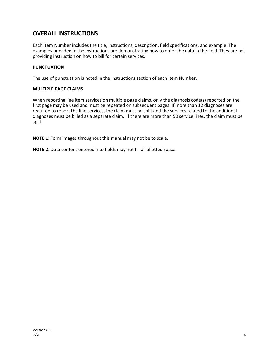## **OVERALL INSTRUCTIONS**

Each Item Number includes the title, instructions, description, field specifications, and example. The examples provided in the instructions are demonstrating how to enter the data in the field. They are not providing instruction on how to bill for certain services.

#### **PUNCTUATION**

The use of punctuation is noted in the instructions section of each Item Number.

#### **MULTIPLE PAGE CLAIMS**

When reporting line item services on multiple page claims, only the diagnosis code(s) reported on the first page may be used and must be repeated on subsequent pages. If more than 12 diagnoses are required to report the line services, the claim must be split and the services related to the additional diagnoses must be billed as a separate claim. If there are more than 50 service lines, the claim must be split.

**NOTE 1**: Form images throughout this manual may not be to scale.

**NOTE 2:** Data content entered into fields may not fill all allotted space.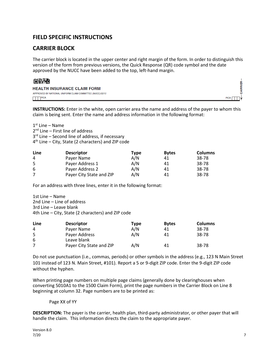## **FIELD SPECIFIC INSTRUCTIONS**

## **CARRIER BLOCK**

The carrier block is located in the upper center and right margin of the form. In order to distinguish this version of the form from previous versions, the Quick Response (QR) code symbol and the date approved by the NUCC have been added to the top, left-hand margin.



| <b>HEALTH INSURANCE CLAIM FORM</b>                        |             |
|-----------------------------------------------------------|-------------|
| APPROVED BY NATIONAL UNIFORM CLAIM COMMITTEE (NUCC) 02/12 |             |
| TTTPICA                                                   | <b>PICA</b> |

**INSTRUCTIONS:** Enter in the white, open carrier area the name and address of the payer to whom this claim is being sent. Enter the name and address information in the following format:

1st Line – Name

 $2<sup>nd</sup>$  Line – First line of address

3<sup>rd</sup> Line – Second line of address, if necessary

 $4<sup>th</sup>$  Line – City, State (2 characters) and ZIP code

| Line | <b>Descriptor</b>        | Type | <b>Bytes</b> | <b>Columns</b> |
|------|--------------------------|------|--------------|----------------|
| 4    | Payer Name               | A/N  | 41           | 38-78          |
| 5    | Payer Address 1          | A/N  | 41           | 38-78          |
| 6    | Payer Address 2          | A/N  | 41           | 38-78          |
|      | Payer City State and ZIP | A/N  | 41           | 38-78          |

For an address with three lines, enter it in the following format:

1st Line – Name 2nd Line – Line of address 3rd Line – Leave blank 4th Line – City, State (2 characters) and ZIP code

| Line | <b>Descriptor</b>        | Type | <b>Bytes</b> | <b>Columns</b> |
|------|--------------------------|------|--------------|----------------|
| 4    | Payer Name               | A/N  | 41           | 38-78          |
| 5    | Payer Address            | A/N  | 41           | 38-78          |
| 6    | Leave blank              |      |              |                |
|      | Payer City State and ZIP | A/N  | 41           | 38-78          |

Do not use punctuation (i.e., commas, periods) or other symbols in the address (e.g., 123 N Main Street 101 instead of 123 N. Main Street, #101). Report a 5 or 9-digit ZIP code. Enter the 9-digit ZIP code without the hyphen.

When printing page numbers on multiple page claims (generally done by clearinghouses when converting 5010A1 to the 1500 Claim Form), print the page numbers in the Carrier Block on Line 8 beginning at column 32. Page numbers are to be printed as:

#### Page XX of YY

**DESCRIPTION:** The payer is the carrier, health plan, third-party administrator, or other payer that will handle the claim. This information directs the claim to the appropriate payer.

۴Ė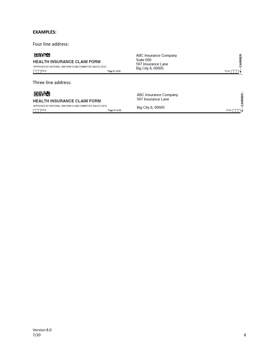#### **EXAMPLES:**

Four line address:

#### 回收地

#### **HEALTH INSURANCE CLAIM FORM**

APPROVED BY NATIONAL UNIFORM CLAIM COMMITTEE (NUCC) 02/12  $\Box$  PICA Page 01 of 02

Three line address:

## 回头地

**HEALTH INSURANCE CLAIM FORM** APPROVED BY NATIONAL UNIFORM CLAIM COMMITTEE (NUCC) 02/12

 $PICA$ 

**ABC Insurance Company** Suite 600 567 Insurance Lane<br>Big City IL 60605

PICA

PICA |

**CARRIER-**

ABC Insurance Company 567 Insurance Lane

Big City IL 60605

Page 01 of 02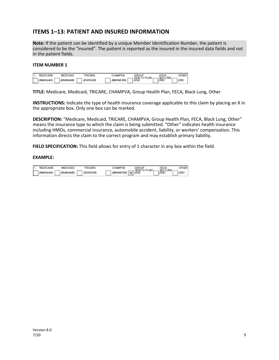## **ITEMS 1–13: PATIENT AND INSURED INFORMATION**

**Note:** If the patient can be identified by a unique Member Identification Number, the patient is considered to be the "insured". The patient is reported as the insured in the insured data fields and not in the patient fields.

#### **ITEM NUMBER 1**

|   | 1. MEDICARE | <b>MEDICAID</b> | <b>TRICARE</b> | CHAMPVA             |                                                          |                                 |  |
|---|-------------|-----------------|----------------|---------------------|----------------------------------------------------------|---------------------------------|--|
| Е | (Medicare#) | (Medicald#)     | (ID#/DoD#)     | $\Box$ (Member ID#) | $\left  \frac{\text{HEALTH PLAN}}{\text{(ID4)}} \right $ | FECA<br>BLKLUNG<br><i>(ID#)</i> |  |

**TITLE:** Medicare, Medicaid, TRICARE, CHAMPVA, Group Health Plan, FECA, Black Lung, Other

**INSTRUCTIONS:** Indicate the type of health insurance coverage applicable to this claim by placing an X in the appropriate box. Only one box can be marked.

**DESCRIPTION:** "Medicare, Medicaid, TRICARE, CHAMPVA, Group Health Plan, FECA, Black Lung, Other" means the insurance type to which the claim is being submitted. "Other" indicates health insurance including HMOs, commercial insurance, automobile accident, liability, or workers' compensation. This information directs the claim to the correct program and may establish primary liability.

**FIELD SPECIFICATION:** This field allows for entry of 1 character in any box within the field.

| 1. MEDICARE | <b>MEDICAID</b> | TRICARE    | CHAMPVA                                         | FECA            |  |
|-------------|-----------------|------------|-------------------------------------------------|-----------------|--|
| (Medcase4)  | (Medicald#)     | (ID#/DoD#) | $\mathcal{L}$ (Member ID#) $\overline{X}$ (ID#) | <b>BLK LUNG</b> |  |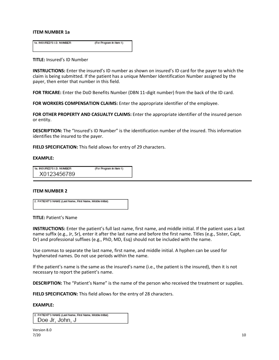#### **ITEM NUMBER 1a**

1a. INSURED'S I.D. NUMBER (For Program in Item 1)

#### **TITLE:** Insured's ID Number

**INSTRUCTIONS:** Enter the insured's ID number as shown on insured's ID card for the payer to which the claim is being submitted. If the patient has a unique Member Identification Number assigned by the payer, then enter that number in this field.

**FOR TRICARE:** Enter the DoD Benefits Number (DBN 11-digit number) from the back of the ID card.

**FOR WORKERS COMPENSATION CLAIMS:** Enter the appropriate identifier of the employee.

**FOR OTHER PROPERTY AND CASUALTY CLAIMS:** Enter the appropriate identifier of the insured person or entity.

**DESCRIPTION:** The "Insured's ID Number" is the identification number of the insured. This information identifies the insured to the payer.

**FIELD SPECIFICATION:** This field allows for entry of 29 characters.

#### **EXAMPLE:**

| 1a. INSURED'S I.D. NUMBER | (For Program in Item 1) |
|---------------------------|-------------------------|
| X0123456789               |                         |

#### **ITEM NUMBER 2**

2. PATIENT'S NAME (Last Name, First Name, Middle Initial)

#### **TITLE:** Patient's Name

**INSTRUCTIONS:** Enter the patient's full last name, first name, and middle initial. If the patient uses a last name suffix (e.g., Jr, Sr), enter it after the last name and before the first name. Titles (e.g., Sister, Capt, Dr) and professional suffixes (e.g., PhD, MD, Esq) should not be included with the name.

Use commas to separate the last name, first name, and middle initial. A hyphen can be used for hyphenated names. Do not use periods within the name.

If the patient's name is the same as the insured's name (i.e., the patient is the insured), then it is not necessary to report the patient's name.

**DESCRIPTION:** The "Patient's Name" is the name of the person who received the treatment or supplies.

**FIELD SPECIFICATION:** This field allows for the entry of 28 characters.

| 2. PATIENT'S NAME (Last Name, First Name, Middle Initial) |  |
|-----------------------------------------------------------|--|
| Doe Jr, John, J                                           |  |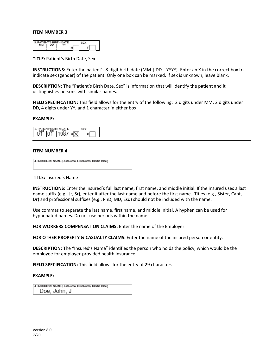| <b>PATIENT'S BIRTH DATE</b> |  |  |
|-----------------------------|--|--|
|                             |  |  |

**TITLE:** Patient's Birth Date, Sex

**INSTRUCTIONS:** Enter the patient's 8-digit birth date (MM | DD | YYYY). Enter an X in the correct box to indicate sex (gender) of the patient. Only one box can be marked. If sex is unknown, leave blank.

**DESCRIPTION:** The "Patient's Birth Date, Sex" is information that will identify the patient and it distinguishes persons with similar names.

**FIELD SPECIFICATION:** This field allows for the entry of the following: 2 digits under MM, 2 digits under DD, 4 digits under YY, and 1 character in either box.

#### **EXAMPLE:**

3. PATIENT'S BIRTH DATE **SEX**  $04$   $109$   $1987$   $N$  $F$ 

#### **ITEM NUMBER 4**

| 4. INSURED'S NAME (Last Name, First Name, Middle Initial) |
|-----------------------------------------------------------|
|                                                           |

#### **TITLE:** Insured's Name

**INSTRUCTIONS:** Enter the insured's full last name, first name, and middle initial. If the insured uses a last name suffix (e.g., Jr, Sr), enter it after the last name and before the first name. Titles (e.g., Sister, Capt, Dr) and professional suffixes (e.g., PhD, MD, Esq) should not be included with the name.

Use commas to separate the last name, first name, and middle initial. A hyphen can be used for hyphenated names. Do not use periods within the name.

**FOR WORKERS COMPENSATION CLAIMS:** Enter the name of the Employer.

FOR OTHER PROPERTY & CASUALTY CLAIMS: Enter the name of the insured person or entity.

**DESCRIPTION:** The "Insured's Name" identifies the person who holds the policy, which would be the employee for employer-provided health insurance.

**FIELD SPECIFICATION:** This field allows for the entry of 29 characters.

| 4. INSURED'S NAME (Last Name, First Name, Middle Initial) |
|-----------------------------------------------------------|
| Doe, John, J                                              |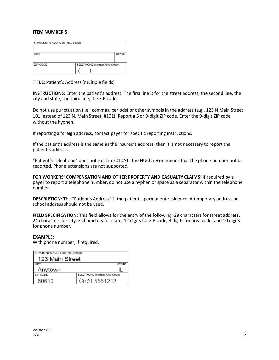| 5. PATIENT'S ADDRESS (No., Street) |                               |              |
|------------------------------------|-------------------------------|--------------|
| CITY                               |                               | <b>STATE</b> |
| ZIP CODE                           | TELEPHONE (Include Area Code) |              |
|                                    |                               |              |

**TITLE:** Patient's Address (multiple fields)

**INSTRUCTIONS:** Enter the patient's address. The first line is for the street address; the second line, the city and state; the third line, the ZIP code.

Do not use punctuation (i.e., commas, periods) or other symbols in the address (e.g., 123 N Main Street 101 instead of 123 N. Main Street, #101). Report a 5 or 9-digit ZIP code. Enter the 9-digit ZIP code without the hyphen.

If reporting a foreign address, contact payer for specific reporting instructions.

If the patient's address is the same as the insured's address, then it is not necessary to report the patient's address.

"Patient's Telephone" does not exist in 5010A1. The NUCC recommends that the phone number not be reported. Phone extensions are not supported.

**FOR WORKERS' COMPENSATION AND OTHER PROPERTY AND CASUALTY CLAIMS:** If required by a payer to report a telephone number, do not use a hyphen or space as a separator within the telephone number.

**DESCRIPTION:** The "Patient's Address" is the patient's permanent residence. A temporary address or school address should not be used.

**FIELD SPECIFICATION:** This field allows for the entry of the following: 28 characters for street address, 24 characters for city, 3 characters for state, 12 digits for ZIP code, 3 digits for area code, and 10 digits for phone number.

#### **EXAMPLE:**

With phone number, if required.

| 5. PATIENT'S ADDRESS (No., Street) |                               |              |
|------------------------------------|-------------------------------|--------------|
| 123 Main Street                    |                               |              |
| CITY                               |                               | <b>STATE</b> |
| Anytown                            |                               |              |
| ZIP CODE                           | TELEPHONE (Include Area Code) |              |
| 60610                              | (312) 5551212                 |              |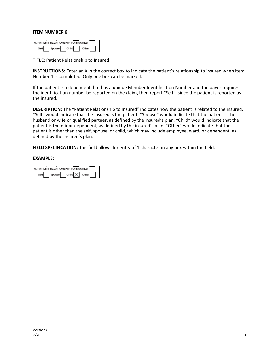| 6. PATIENT RELATIONSHIP TO INSURED |  |  |
|------------------------------------|--|--|
|                                    |  |  |

**TITLE:** Patient Relationship to Insured

**INSTRUCTIONS:** Enter an X in the correct box to indicate the patient's relationship to insured when Item Number 4 is completed. Only one box can be marked.

If the patient is a dependent, but has a unique Member Identification Number and the payer requires the identification number be reported on the claim, then report "Self", since the patient is reported as the insured.

**DESCRIPTION:** The "Patient Relationship to Insured" indicates how the patient is related to the insured. "Self" would indicate that the insured is the patient. "Spouse" would indicate that the patient is the husband or wife or qualified partner, as defined by the insured's plan. "Child" would indicate that the patient is the minor dependent, as defined by the insured's plan. "Other" would indicate that the patient is other than the self, spouse, or child, which may include employee, ward, or dependent, as defined by the insured's plan.

FIELD SPECIFICATION: This field allows for entry of 1 character in any box within the field.

|  | 6. PATIENT RELATIONSHIP TO INSURED |  |
|--|------------------------------------|--|
|  | child X other                      |  |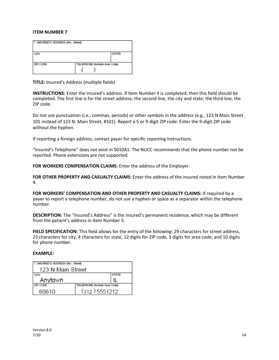| 7. INSURED'S ADDRESS (No., Street) |                               |              |
|------------------------------------|-------------------------------|--------------|
| CITY                               |                               | <b>STATE</b> |
| ZIP CODE                           | TELEPHONE (Include Area Code) |              |

**TITLE:** Insured's Address (multiple fields)

**INSTRUCTIONS:** Enter the insured's address. If Item Number 4 is completed, then this field should be completed. The first line is for the street address; the second line, the city and state; the third line, the ZIP code.

Do not use punctuation (i.e., commas, periods) or other symbols in the address (e.g., 123 N Main Street 101 instead of 123 N. Main Street, #101). Report a 5 or 9-digit ZIP code. Enter the 9-digit ZIP code without the hyphen.

If reporting a foreign address, contact payer for specific reporting instructions.

"Insured's Telephone" does not exist in 5010A1. The NUCC recommends that the phone number not be reported. Phone extensions are not supported.

FOR WORKERS COMPENSATION CLAIMS: Enter the address of the Employer.

**FOR OTHER PROPERTY AND CASUALTY CLAIMS:** Enter the address of the insured noted in Item Number 4.

**FOR WORKERS' COMPENSATION AND OTHER PROPERTY AND CASUALTY CLAIMS:** If required by a payer to report a telephone number, do not use a hyphen or space as a separator within the telephone number.

**DESCRIPTION:** The "Insured's Address" is the insured's permanent residence, which may be different from the patient's address in Item Number 5.

**FIELD SPECIFICATION:** This field allows for the entry of the following: 29 characters for street address, 23 characters for city, 4 characters for state, 12 digits for ZIP code, 3 digits for area code, and 10 digits for phone number.

| 7. INSURED'S ADDRESS (No., Street) |                               |              |
|------------------------------------|-------------------------------|--------------|
| 123 N Main Street                  |                               |              |
| CITY                               |                               | <b>STATE</b> |
| Anytown                            |                               |              |
| ZIP CODE                           | TELEPHONE (Include Area Code) |              |
| 60610                              | $(312)$ 5551212               |              |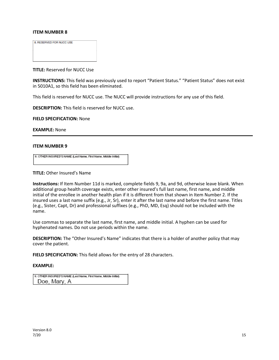8. RESERVED FOR NUCC USE

**TITLE:** Reserved for NUCC Use

**INSTRUCTIONS:** This field was previously used to report "Patient Status." "Patient Status" does not exist in 5010A1, so this field has been eliminated.

This field is reserved for NUCC use. The NUCC will provide instructions for any use of this field.

**DESCRIPTION:** This field is reserved for NUCC use.

**FIELD SPECIFICATION:** None

**EXAMPLE:** None

#### **ITEM NUMBER 9**

9. OTHER INSURED'S NAME (Last Name, First Name, Middle Initial)

**TITLE:** Other Insured's Name

**Instructions:** If Item Number 11d is marked, complete fields 9, 9a, and 9d, otherwise leave blank. When additional group health coverage exists, enter other insured's full last name, first name, and middle initial of the enrollee in another health plan if it is different from that shown in Item Number 2. If the insured uses a last name suffix (e.g., Jr, Sr), enter it after the last name and before the first name. Titles (e.g., Sister, Capt, Dr) and professional suffixes (e.g., PhD, MD, Esq) should not be included with the name.

Use commas to separate the last name, first name, and middle initial. A hyphen can be used for hyphenated names. Do not use periods within the name.

**DESCRIPTION:** The "Other Insured's Name" indicates that there is a holder of another policy that may cover the patient.

**FIELD SPECIFICATION:** This field allows for the entry of 28 characters.

| 9. OTHER INSURED'S NAME (Last Name, First Name, Middle Initial) |
|-----------------------------------------------------------------|
| Doe, Mary, A                                                    |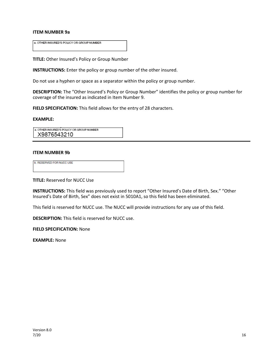#### **ITEM NUMBER 9a**

a. OTHER INSURED'S POLICY OR GROUP NUMBER

**TITLE:** Other Insured's Policy or Group Number

**INSTRUCTIONS:** Enter the policy or group number of the other insured.

Do not use a hyphen or space as a separator within the policy or group number.

**DESCRIPTION:** The "Other Insured's Policy or Group Number" identifies the policy or group number for coverage of the insured as indicated in Item Number 9.

**FIELD SPECIFICATION:** This field allows for the entry of 28 characters.

#### **EXAMPLE:**

a. OTHER INSURED'S POLICY OR GROUP NUMBER X9876543210

#### **ITEM NUMBER 9b**

| <b>b. RESERVED FOR NUCC USE</b> |  |
|---------------------------------|--|
|                                 |  |

**TITLE:** Reserved for NUCC Use

**INSTRUCTIONS:** This field was previously used to report "Other Insured's Date of Birth, Sex." "Other Insured's Date of Birth, Sex" does not exist in 5010A1, so this field has been eliminated.

This field is reserved for NUCC use. The NUCC will provide instructions for any use of this field.

**DESCRIPTION:** This field is reserved for NUCC use.

**FIELD SPECIFICATION:** None

**EXAMPLE:** None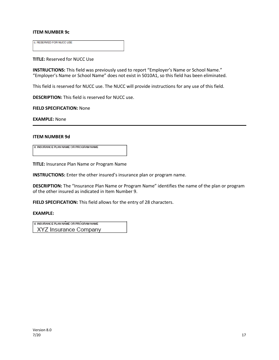#### **ITEM NUMBER 9c**

c. RESERVED FOR NUCC USE

**TITLE:** Reserved for NUCC Use

**INSTRUCTIONS:** This field was previously used to report "Employer's Name or School Name." "Employer's Name or School Name" does not exist in 5010A1, so this field has been eliminated.

This field is reserved for NUCC use. The NUCC will provide instructions for any use of this field.

**DESCRIPTION:** This field is reserved for NUCC use.

**FIELD SPECIFICATION:** None

**EXAMPLE:** None

#### **ITEM NUMBER 9d**

d. INSURANCE PLAN NAME OR PROGRAM NAME

**TITLE:** Insurance Plan Name or Program Name

**INSTRUCTIONS:** Enter the other insured's insurance plan or program name.

**DESCRIPTION:** The "Insurance Plan Name or Program Name" identifies the name of the plan or program of the other insured as indicated in Item Number 9.

**FIELD SPECIFICATION:** This field allows for the entry of 28 characters.

#### **EXAMPLE:**

d. INSURANCE PLAN NAME OR PROGRAM NAME

XYZ Insurance Company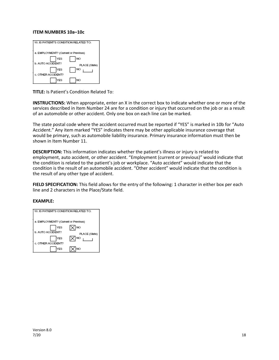#### **ITEM NUMBERS 10a–10c**

| 10. IS PATIENT'S CONDITION RELATED TO: |                     |
|----------------------------------------|---------------------|
| a. EMPLOYMENT? (Current or Previous)   |                     |
| YES<br><b>b. AUTO ACCIDENT?</b>        | NO                  |
| YES<br>c. OTHER ACCIDENT?              | PLACE (State)<br>NO |
| YES                                    | NO                  |

**TITLE:** Is Patient's Condition Related To:

**INSTRUCTIONS:** When appropriate, enter an X in the correct box to indicate whether one or more of the services described in Item Number 24 are for a condition or injury that occurred on the job or as a result of an automobile or other accident. Only one box on each line can be marked.

The state postal code where the accident occurred must be reported if "YES" is marked in 10b for "Auto Accident." Any item marked "YES" indicates there may be other applicable insurance coverage that would be primary, such as automobile liability insurance. Primary insurance information must then be shown in Item Number 11.

**DESCRIPTION:** This information indicates whether the patient's illness or injury is related to employment, auto accident, or other accident. "Employment (current or previous)" would indicate that the condition is related to the patient's job or workplace. "Auto accident" would indicate that the condition is the result of an automobile accident. "Other accident" would indicate that the condition is the result of any other type of accident.

**FIELD SPECIFICATION:** This field allows for the entry of the following: 1 character in either box per each line and 2 characters in the Place/State field.

| 0. IS PATIENT'S CONDITION RELATED TO: |                      |
|---------------------------------------|----------------------|
| a. EMPLOYMENT? (Current or Previous)  |                      |
| YES<br><b>b. AUTO ACCIDENT?</b>       | NO.<br>PLACE (State) |
| YES<br>c. OTHER ACCIDENT?             | <b>NO</b>            |
| YES                                   | NO                   |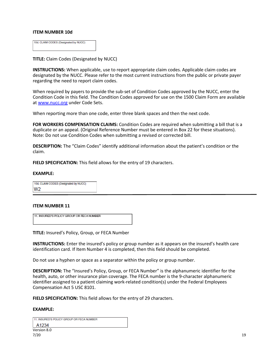#### **ITEM NUMBER 10d**

| 10d. CLAIM CODES (Designated by NUCC) |  |
|---------------------------------------|--|
|                                       |  |

**TITLE:** Claim Codes (Designated by NUCC)

**INSTRUCTIONS:** When applicable, use to report appropriate claim codes. Applicable claim codes are designated by the NUCC. Please refer to the most current instructions from the public or private payer regarding the need to report claim codes.

When required by payers to provide the sub-set of Condition Codes approved by the NUCC, enter the Condition Code in this field. The Condition Codes approved for use on the 1500 Claim Form are available at [www.nucc.org](http://www.nucc.org/) under Code Sets.

When reporting more than one code, enter three blank spaces and then the next code.

**FOR WORKERS COMPENSATION CLAIMS:** Condition Codes are required when submitting a bill that is a duplicate or an appeal. (Original Reference Number must be entered in Box 22 for these situations). Note: Do not use Condition Codes when submitting a revised or corrected bill.

**DESCRIPTION:** The "Claim Codes" identify additional information about the patient's condition or the claim.

**FIELD SPECIFICATION:** This field allows for the entry of 19 characters.

#### **EXAMPLE:**

10d. CLAIM CODES (Designated by NUCC) W<sub>2</sub>

#### **ITEM NUMBER 11**

11. INSURED'S POLICY GROUP OR FECA NUMBER

**TITLE:** Insured's Policy, Group, or FECA Number

**INSTRUCTIONS:** Enter the insured's policy or group number as it appears on the insured's health care identification card. If Item Number 4 is completed, then this field should be completed.

Do not use a hyphen or space as a separator within the policy or group number.

**DESCRIPTION:** The "Insured's Policy, Group, or FECA Number" is the alphanumeric identifier for the health, auto, or other insurance plan coverage. The FECA number is the 9-character alphanumeric identifier assigned to a patient claiming work-related condition(s) under the Federal Employees Compensation Act 5 USC 8101.

**FIELD SPECIFICATION:** This field allows for the entry of 29 characters.

| 11. INSURED'S POLICY GROUP OR FECA NUMBER |  |
|-------------------------------------------|--|
| A1234                                     |  |
| Version 8.0                               |  |
| 7/20                                      |  |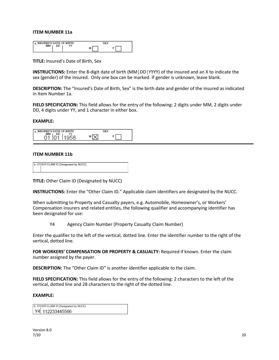#### **ITEM NUMBER 11a**

| INSURED'S DATE OF BIRTH<br>8. |   |
|-------------------------------|---|
| DD                            | м |

**TITLE:** Insured's Date of Birth, Sex

**INSTRUCTIONS:** Enter the 8-digit date of birth (MM│DD│YYYY) of the insured and an X to indicate the sex (gender) of the insured. Only one box can be marked. If gender is unknown, leave blank.

**DESCRIPTION:** The "Insured's Date of Birth, Sex" is the birth date and gender of the insured as indicated in Item Number 1a.

**FIELD SPECIFICATION:** This field allows for the entry of the following: 2 digits under MM, 2 digits under DD, 4 digits under YY, and 1 character in either box.

#### **EXAMPLE:**

| <b>a. INSURED'S DATE OF BIRTH</b> |  |
|-----------------------------------|--|
| мм<br>DD<br>r o                   |  |

#### **ITEM NUMBER 11b**

| b. OTHER CLAIM ID (Designated by NUCC) |
|----------------------------------------|
|                                        |
|                                        |
|                                        |
|                                        |

**TITLE:** Other Claim ID (Designated by NUCC)

**INSTRUCTIONS:** Enter the "Other Claim ID." Applicable claim identifiers are designated by the NUCC.

When submitting to Property and Casualty payers, e.g. Automobile, Homeowner's, or Workers' Compensation insurers and related entities, the following qualifier and accompanying identifier has been designated for use:

Y4 Agency Claim Number (Property Casualty Claim Number)

Enter the qualifier to the left of the vertical, dotted line. Enter the identifier number to the right of the vertical, dotted line.

**FOR WORKERS' COMPENSATION OR PROPERTY & CASUALTY:** Required if known. Enter the claim number assigned by the payer.

**DESCRIPTION:** The "Other Claim ID" is another identifier applicable to the claim.

**FIELD SPECIFICATION:** This field allows for the entry of the following: 2 characters to the left of the vertical, dotted line and 28 characters to the right of the dotted line.

#### **EXAMPLE:**

b. OTHER CLAIM ID (Designated by NUCC) Y4 112233445566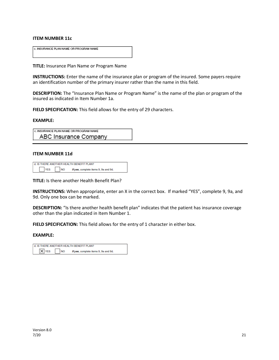#### **ITEM NUMBER 11c**

| c. INSURANCE PLAN NAME OR PROGRAM NAME |  |
|----------------------------------------|--|
|                                        |  |
|                                        |  |
|                                        |  |
|                                        |  |
|                                        |  |

**TITLE:** Insurance Plan Name or Program Name

**INSTRUCTIONS:** Enter the name of the insurance plan or program of the insured. Some payers require an identification number of the primary insurer rather than the name in this field.

**DESCRIPTION:** The "Insurance Plan Name or Program Name" is the name of the plan or program of the insured as indicated in Item Number 1a.

**FIELD SPECIFICATION:** This field allows for the entry of 29 characters.

#### **EXAMPLE:**

| c. INSURANCE PLAN NAME OR PROGRAM NAME |  |
|----------------------------------------|--|
| ABC Insurance Company                  |  |

#### **ITEM NUMBER 11d**

| d. IS THERE ANOTHER HEALTH BENEFIT PLAN? |                                                   |  |  |  |
|------------------------------------------|---------------------------------------------------|--|--|--|
| YES                                      | <b>NO</b><br>If yes, complete items 9, 9a and 9d. |  |  |  |

**TITLE:** Is there another Health Benefit Plan?

**INSTRUCTIONS:** When appropriate, enter an X in the correct box. If marked "YES", complete 9, 9a, and 9d. Only one box can be marked.

**DESCRIPTION:** "Is there another health benefit plan" indicates that the patient has insurance coverage other than the plan indicated in Item Number 1.

**FIELD SPECIFICATION:** This field allows for the entry of 1 character in either box.

| d. IS THERE ANOTHER HEALTH BENEFIT PLAN? |           |                                      |  |
|------------------------------------------|-----------|--------------------------------------|--|
| $X$ YES                                  | <b>NO</b> | If yes, complete items 9, 9a and 9d. |  |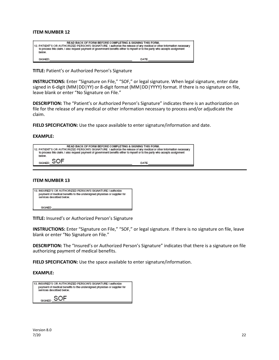| READ BACK OF FORM BEFORE COMPLETING & SIGNING THIS FORM.<br>112. PATIENT'S OR AUTHORIZED PERSON'S SIGNATURE 1 authorize the release of any medical or other information necessary<br>to process this claim. I also request payment of government benefits either to myself or to the party who accepts assignment<br>below. |      |
|-----------------------------------------------------------------------------------------------------------------------------------------------------------------------------------------------------------------------------------------------------------------------------------------------------------------------------|------|
| SIGNED                                                                                                                                                                                                                                                                                                                      | DATE |

**TITLE:** Patient's or Authorized Person's Signature

**INSTRUCTIONS:** Enter "Signature on File," "SOF," or legal signature. When legal signature, enter date signed in 6-digit (MM|DD|YY) or 8-digit format (MM|DD|YYYY) format. If there is no signature on file, leave blank or enter "No Signature on File."

**DESCRIPTION:** The "Patient's or Authorized Person's Signature" indicates there is an authorization on file for the release of any medical or other information necessary to process and/or adjudicate the claim.

**FIELD SPECIFICATION:** Use the space available to enter signature/information and date.

#### **EXAMPLE:**

| READ BACK OF FORM BEFORE COMPLETING & SIGNING THIS FORM.<br>12. PATIENT'S OR AUTHORIZED PERSON'S SIGNATURE I authorize the release of any medical or other information necessary<br>to process this claim. I also request payment of government benefits either to myself or to the party who accepts assignment<br>below. |  |
|----------------------------------------------------------------------------------------------------------------------------------------------------------------------------------------------------------------------------------------------------------------------------------------------------------------------------|--|
| SIGNED<br>DATE                                                                                                                                                                                                                                                                                                             |  |

#### **ITEM NUMBER 13**

| 13. INSURED'S OR AUTHORIZED PERSON'S SIGNATURE I authorize<br>payment of medical benefits to the undersigned physician or supplier for<br>services described below. |
|---------------------------------------------------------------------------------------------------------------------------------------------------------------------|
| SIGNED                                                                                                                                                              |

**TITLE:** Insured's or Authorized Person's Signature

**INSTRUCTIONS:** Enter "Signature on File," "SOF," or legal signature. If there is no signature on file, leave blank or enter "No Signature on File."

**DESCRIPTION:** The "Insured's or Authorized Person's Signature" indicates that there is a signature on file authorizing payment of medical benefits.

**FIELD SPECIFICATION:** Use the space available to enter signature/information.

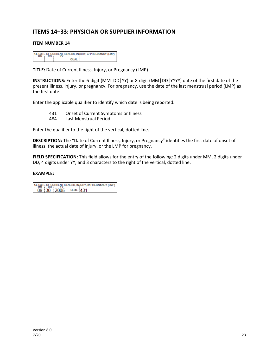## **ITEMS 14–33: PHYSICIAN OR SUPPLIER INFORMATION**

#### **ITEM NUMBER 14**

|           |       | 14. DATE OF CURRENT ILLNESS, INJURY, or PREGNANCY (LMP) |
|-----------|-------|---------------------------------------------------------|
| <b>MM</b> |       |                                                         |
|           | QUAL. |                                                         |

**TITLE:** Date of Current Illness, Injury, or Pregnancy (LMP)

**INSTRUCTIONS:** Enter the 6-digit (MM│DD│YY) or 8-digit (MM│DD│YYYY) date of the first date of the present illness, injury, or pregnancy. For pregnancy, use the date of the last menstrual period (LMP) as the first date.

Enter the applicable qualifier to identify which date is being reported.

- 431 Onset of Current Symptoms or Illness<br>484 Last Menstrual Period
- Last Menstrual Period

Enter the qualifier to the right of the vertical, dotted line.

**DESCRIPTION:** The "Date of Current Illness, Injury, or Pregnancy" identifies the first date of onset of illness, the actual date of injury, or the LMP for pregnancy.

**FIELD SPECIFICATION:** This field allows for the entry of the following: 2 digits under MM, 2 digits under DD, 4 digits under YY, and 3 characters to the right of the vertical, dotted line.

14. DATE OF CURRENT ILLNESS, INJURY, or PREGNANCY (LMP) 09 30 2005 QUAL 431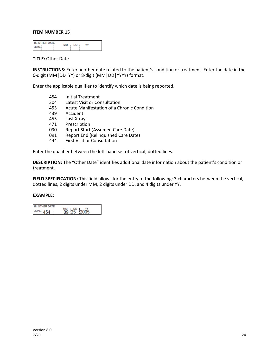| <b>15. OTHER DATE</b><br><b>OUAL</b> | мм | DD. |  |
|--------------------------------------|----|-----|--|
|                                      |    |     |  |

#### **TITLE:** Other Date

**INSTRUCTIONS:** Enter another date related to the patient's condition or treatment. Enter the date in the 6-digit (MM│DD│YY) or 8-digit (MM│DD│YYYY) format.

Enter the applicable qualifier to identify which date is being reported.

- 454 Initial Treatment<br>304 Latest Visit or Cor
- Latest Visit or Consultation
- 453 Acute Manifestation of a Chronic Condition
- 439 Accident
- 455 Last X-ray
- 471 Prescription
- 090 Report Start (Assumed Care Date)<br>091 Report End (Relinguished Care Dat
- Report End (Relinquished Care Date)
- 444 First Visit or Consultation

Enter the qualifier between the left-hand set of vertical, dotted lines.

**DESCRIPTION:** The "Other Date" identifies additional date information about the patient's condition or treatment.

**FIELD SPECIFICATION:** This field allows for the entry of the following: 3 characters between the vertical, dotted lines, 2 digits under MM, 2 digits under DD, and 4 digits under YY.

| 15. OTHER DATE      | МM<br>, DD |
|---------------------|------------|
| QUAL.<br><b>AEA</b> | 12005      |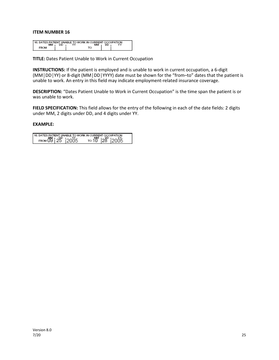| 116. DATES PATIENT UNABLE TO WORK IN CURRENT OCCUPATION. |    |    |  |
|----------------------------------------------------------|----|----|--|
|                                                          | DD | DD |  |
|                                                          |    |    |  |

**TITLE:** Dates Patient Unable to Work in Current Occupation

**INSTRUCTIONS:** If the patient is employed and is unable to work in current occupation, a 6-digit (MM│DD│YY) or 8-digit (MM│DD│YYYY) date must be shown for the "from–to" dates that the patient is unable to work. An entry in this field may indicate employment-related insurance coverage.

**DESCRIPTION:** "Dates Patient Unable to Work in Current Occupation" is the time span the patient is or was unable to work.

**FIELD SPECIFICATION:** This field allows for the entry of the following in each of the date fields: 2 digits under MM, 2 digits under DD, and 4 digits under YY.

| 16. DATES PATIENT UNABLE TO WORK IN CURRENT OCCUPATION. |  |                                            |  |
|---------------------------------------------------------|--|--------------------------------------------|--|
| FROM 09 25 2005                                         |  | το 10 <sup>MM</sup> 128 <sup>p</sup> 12005 |  |
|                                                         |  |                                            |  |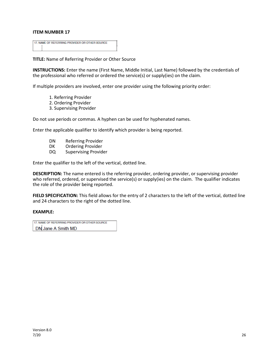| 17. NAME OF REFERRING PROVIDER OR OTHER SOURCE |  |
|------------------------------------------------|--|
|                                                |  |
|                                                |  |
|                                                |  |

**TITLE:** Name of Referring Provider or Other Source

**INSTRUCTIONS:** Enter the name (First Name, Middle Initial, Last Name) followed by the credentials of the professional who referred or ordered the service(s) or supply(ies) on the claim.

If multiple providers are involved, enter one provider using the following priority order:

- 1. Referring Provider
- 2. Ordering Provider
- 3. Supervising Provider

Do not use periods or commas. A hyphen can be used for hyphenated names.

Enter the applicable qualifier to identify which provider is being reported.

- DN Referring Provider
- DK Ordering Provider
- DQ Supervising Provider

Enter the qualifier to the left of the vertical, dotted line.

**DESCRIPTION:** The name entered is the referring provider, ordering provider, or supervising provider who referred, ordered, or supervised the service(s) or supply(ies) on the claim. The qualifier indicates the role of the provider being reported.

**FIELD SPECIFICATION:** This field allows for the entry of 2 characters to the left of the vertical, dotted line and 24 characters to the right of the dotted line.

#### **EXAMPLE:**

17. NAME OF REFERRING PROVIDER OR OTHER SOURCE DN Jane A Smith MD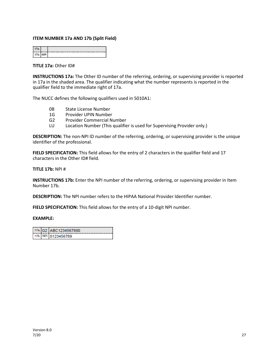#### **ITEM NUMBER 17a AND 17b (Split Field)**

| 17b. |  |
|------|--|

**TITLE 17a:** Other ID#

**INSTRUCTIONS 17a:** The Other ID number of the referring, ordering, or supervising provider is reported in 17a in the shaded area. The qualifier indicating what the number represents is reported in the qualifier field to the immediate right of 17a.

The NUCC defines the following qualifiers used in 5010A1:

- 0B State License Number
- 1G Provider UPIN Number
- G2 Provider Commercial Number
- LU Location Number (This qualifier is used for Supervising Provider only.)

**DESCRIPTION:** The non-NPI ID number of the referring, ordering, or supervising provider is the unique identifier of the professional.

FIELD SPECIFICATION: This field allows for the entry of 2 characters in the qualifier field and 17 characters in the Other ID# field.

**TITLE 17b:** NPI #

**INSTRUCTIONS 17b:** Enter the NPI number of the referring, ordering, or supervising provider in Item Number 17b.

**DESCRIPTION:** The NPI number refers to the HIPAA National Provider Identifier number.

**FIELD SPECIFICATION:** This field allows for the entry of a 10-digit NPI number.

|  | 17a. G2 ABC1234567890 |
|--|-----------------------|
|  | 17b. NPI 0123456789   |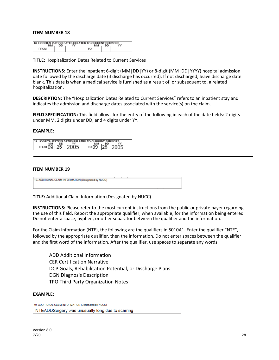| 18. HOSPITALIZATION DATES RELATED TO CURRENT SERVICES |    |  |  |
|-------------------------------------------------------|----|--|--|
|                                                       | DD |  |  |
|                                                       |    |  |  |

**TITLE:** Hospitalization Dates Related to Current Services

**INSTRUCTIONS:** Enter the inpatient 6-digit (MM│DD│YY) or 8-digit (MM│DD│YYYY) hospital admission date followed by the discharge date (if discharge has occurred). If not discharged, leave discharge date blank. This date is when a medical service is furnished as a result of, or subsequent to, a related hospitalization.

**DESCRIPTION:** The "Hospitalization Dates Related to Current Services" refers to an inpatient stay and indicates the admission and discharge dates associated with the service(s) on the claim.

**FIELD SPECIFICATION:** This field allows for the entry of the following in each of the date fields: 2 digits under MM, 2 digits under DD, and 4 digits under YY.

#### **EXAMPLE:**

| 18          |          | HOSPITALIZATION DATES RELATED TO CURRENT SERVICES. |  |  |
|-------------|----------|----------------------------------------------------|--|--|
|             |          |                                                    |  |  |
| <b>FROM</b> | 09125120 |                                                    |  |  |

#### **ITEM NUMBER 19**

19. ADDITIONAL CLAIM INFORMATION (Designated by NUCC)

**TITLE:** Additional Claim Information (Designated by NUCC)

**INSTRUCTIONS:** Please refer to the most current instructions from the public or private payer regarding the use of this field. Report the appropriate qualifier, when available, for the information being entered. Do not enter a space, hyphen, or other separator between the qualifier and the information.

For the Claim Information (NTE), the following are the qualifiers in 5010A1. Enter the qualifier "NTE", followed by the appropriate qualifier, then the information. Do not enter spaces between the qualifier and the first word of the information. After the qualifier, use spaces to separate any words.

ADD Additional Information CER Certification Narrative DCP Goals, Rehabilitation Potential, or Discharge Plans DGN Diagnosis Description TPO Third Party Organization Notes

#### **EXAMPLE:**

19. ADDITIONAL CLAIM INFORMATION (Designated by NUCC) NTEADDSurgery was unusually long due to scarring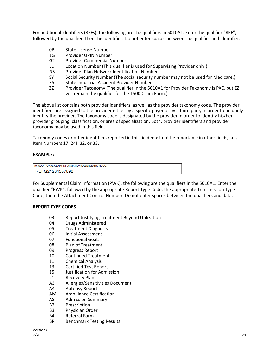For additional identifiers (REFs), the following are the qualifiers in 5010A1. Enter the qualifier "REF", followed by the qualifier, then the identifier. Do not enter spaces between the qualifier and identifier.

- 0B State License Number
- 1G Provider UPIN Number
- G2 Provider Commercial Number
- LU Location Number (This qualifier is used for Supervising Provider only.)
- N5 Provider Plan Network Identification Number
- SY Social Security Number (The social security number may not be used for Medicare.)
- X5 State Industrial Accident Provider Number
- ZZ Provider Taxonomy (The qualifier in the 5010A1 for Provider Taxonomy is PXC, but ZZ will remain the qualifier for the 1500 Claim Form.)

The above list contains both provider identifiers, as well as the provider taxonomy code. The provider identifiers are assigned to the provider either by a specific payer or by a third party in order to uniquely identify the provider. The taxonomy code is designated by the provider in order to identify his/her provider grouping, classification, or area of specialization. Both, provider identifiers and provider taxonomy may be used in this field.

Taxonomy codes or other identifiers reported in this field must not be reportable in other fields, i.e., Item Numbers 17, 24J, 32, or 33.

#### **EXAMPLE:**

| 19. ADDITIONAL CLAIM INFORMATION (Designated by NUCC) |
|-------------------------------------------------------|
| REFG21234567890                                       |

For Supplemental Claim Information (PWK), the following are the qualifiers in the 5010A1. Enter the qualifier "PWK", followed by the appropriate Report Type Code, the appropriate Transmission Type Code, then the Attachment Control Number. Do not enter spaces between the qualifiers and data.

#### **REPORT TYPE CODES**

- 03 Report Justifying Treatment Beyond Utilization
- 04 Drugs Administered
- 05 Treatment Diagnosis
- 06 Initial Assessment
- 07 Functional Goals
- 08 Plan of Treatment
- 09 Progress Report
- 10 Continued Treatment
- 11 Chemical Analysis
- 13 Certified Test Report
- 15 Justification for Admission
- 21 Recovery Plan
- A3 Allergies/Sensitivities Document
- A4 Autopsy Report
- AM Ambulance Certification
- AS Admission Summary
- B2 Prescription
- B3 Physician Order
- B4 Referral Form
- BR Benchmark Testing Results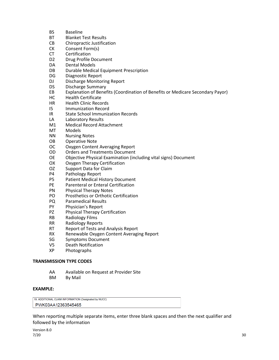- BS Baseline
- BT Blanket Test Results
- CB Chiropractic Justification
- CK Consent Form(s)
- CT Certification
- D2 Drug Profile Document
- DA Dental Models
- DB Durable Medical Equipment Prescription
- DG Diagnostic Report
- DJ Discharge Monitoring Report
- DS Discharge Summary
- EB Explanation of Benefits (Coordination of Benefits or Medicare Secondary Payor)
- HC Health Certificate
- HR Health Clinic Records
- I5 Immunization Record
- IR State School Immunization Records
- LA Laboratory Results
- M1 Medical Record Attachment
- MT Models
- NN Nursing Notes
- OB Operative Note
- OC Oxygen Content Averaging Report
- OD Orders and Treatments Document
- OE Objective Physical Examination (including vital signs) Document
- OX Oxygen Therapy Certification
- OZ Support Data for Claim
- P4 Pathology Report
- P5 Patient Medical History Document
- PE Parenteral or Enteral Certification<br>PN Physical Therapy Notes
- Physical Therapy Notes
- PO Prosthetics or Orthotic Certification
- PQ Paramedical Results
- PY Physician's Report
- PZ Physical Therapy Certification
- RB Radiology Films
- RR Radiology Reports
- RT Report of Tests and Analysis Report
- RX Renewable Oxygen Content Averaging Report
- SG Symptoms Document
- V5 Death Notification<br>XP Photographs
- Photographs

#### **TRANSMISSION TYPE CODES**

- AA Available on Request at Provider Site
- BM By Mail

#### **EXAMPLE:**

19. ADDITIONAL CLAIM INFORMATION (Designated by NUCC) PWK03AA12363545465

When reporting multiple separate items, enter three blank spaces and then the next qualifier and followed by the information

Version 8.0 ли 200 году в село в 1920 году в село в 1920 году в 1920 году в 1930 году в 1930 году в 1930 году в 1930 году <br>После 1930 году в 1930 году в 1930 году в 1930 году в 1930 году в 1930 году в 1930 году в 1930 году в 1930 год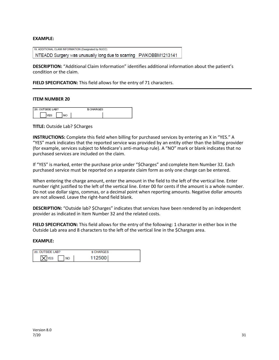#### **EXAMPLE:**

19. ADDITIONAL CLAIM INFORMATION (Designated by NUCC) NTEADD Surgery was unusually long due to scarring PWKOBBM1213141

**DESCRIPTION:** "Additional Claim Information" identifies additional information about the patient's condition or the claim.

**FIELD SPECIFICATION:** This field allows for the entry of 71 characters.

#### **ITEM NUMBER 20**

| 20. OUTSIDE LAB? | \$ CHARGES |  |
|------------------|------------|--|
|                  |            |  |

**TITLE:** Outside Lab? \$Charges

**INSTRUCTIONS:** Complete this field when billing for purchased services by entering an X in "YES." A "YES" mark indicates that the reported service was provided by an entity other than the billing provider (for example, services subject to Medicare's anti-markup rule). A "NO" mark or blank indicates that no purchased services are included on the claim.

If "YES" is marked, enter the purchase price under "\$Charges" and complete Item Number 32. Each purchased service must be reported on a separate claim form as only one charge can be entered.

When entering the charge amount, enter the amount in the field to the left of the vertical line. Enter number right justified to the left of the vertical line. Enter 00 for cents if the amount is a whole number. Do not use dollar signs, commas, or a decimal point when reporting amounts. Negative dollar amounts are not allowed. Leave the right-hand field blank.

**DESCRIPTION:** "Outside lab? \$Charges" indicates that services have been rendered by an independent provider as indicated in Item Number 32 and the related costs.

**FIELD SPECIFICATION:** This field allows for the entry of the following: 1 character in either box in the Outside Lab area and 8 characters to the left of the vertical line in the \$Charges area.

| 20. OUTSIDE LAB? | <b>S CHARGES</b> |
|------------------|------------------|
| <b>NO</b>        | 112500           |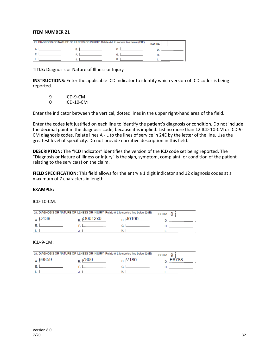|  | 21. DIAGNOSIS OR NATURE OF ILLNESS OR INJURY Relate A-L to service line below (24E) | ICD Ind. |
|--|-------------------------------------------------------------------------------------|----------|
|  |                                                                                     |          |
|  |                                                                                     |          |
|  |                                                                                     |          |

**TITLE:** Diagnosis or Nature of Illness or Injury

**INSTRUCTIONS:** Enter the applicable ICD indicator to identify which version of ICD codes is being reported.

9 ICD-9-CM<br>0 ICD-10-CM 0 ICD-10-CM

Enter the indicator between the vertical, dotted lines in the upper right-hand area of the field.

Enter the codes left justified on each line to identify the patient's diagnosis or condition. Do not include the decimal point in the diagnosis code, because it is implied. List no more than 12 ICD-10-CM or ICD-9- CM diagnosis codes. Relate lines A - L to the lines of service in 24E by the letter of the line. Use the greatest level of specificity. Do not provide narrative description in this field.

**DESCRIPTION:** The "ICD Indicator" identifies the version of the ICD code set being reported. The "Diagnosis or Nature of Illness or Injury" is the sign, symptom, complaint, or condition of the patient relating to the service(s) on the claim.

**FIELD SPECIFICATION:** This field allows for the entry a 1 digit indicator and 12 diagnosis codes at a maximum of 7 characters in length.

#### **EXAMPLE:**

#### ICD-10-CM:

|                  | 21. DIAGNOSIS OR NATURE OF ILLNESS OR INJURY Relate A-L to service line below (24E) |                | ICD Ind. $\overline{0}$ |
|------------------|-------------------------------------------------------------------------------------|----------------|-------------------------|
| O <sub>139</sub> | $_{\text{p}}$ (O6012x0)                                                             | $_{c}$ , J0190 |                         |
|                  |                                                                                     |                |                         |
|                  |                                                                                     |                |                         |

#### ICD-9-CM:

|       | 21. DIAGNOSIS OR NATURE OF ILLNESS OR INJURY Relate A-L to service line below (24E) |                  | <b>ICD</b> Ind |
|-------|-------------------------------------------------------------------------------------|------------------|----------------|
| 99859 | 7806                                                                                | V <sub>180</sub> | 8788           |
|       |                                                                                     |                  |                |
|       |                                                                                     |                  |                |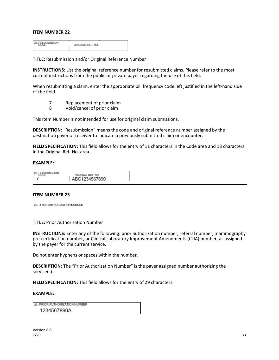22. BESUBMISSION ORIGINAL REF. NO.

**TITLE:** Resubmission and/or Original Reference Number

**INSTRUCTIONS:** List the original reference number for resubmitted claims. Please refer to the most current instructions from the public or private payer regarding the use of this field.

When resubmitting a claim, enter the appropriate bill frequency code left justified in the left-hand side of the field.

- 7 Replacement of prior claim
- 8 Void/cancel of prior claim

This Item Number is not intended for use for original claim submissions.

**DESCRIPTION:** "Resubmission" means the code and original reference number assigned by the destination payer or receiver to indicate a previously submitted claim or encounter.

**FIELD SPECIFICATION:** This field allows for the entry of 11 characters in the Code area and 18 characters in the Original Ref. No. area.

#### **EXAMPLE:**

| п |                   |  |
|---|-------------------|--|
|   | ORIGINAL REF. NO. |  |
|   | BC1234567890      |  |

#### **ITEM NUMBER 23**

| <b>23. PRIOR AUTHORIZATION NUMBER</b> |  |
|---------------------------------------|--|
|                                       |  |
|                                       |  |

**TITLE:** Prior Authorization Number

**INSTRUCTIONS:** Enter any of the following: prior authorization number, referral number, mammography pre-certification number, or Clinical Laboratory Improvement Amendments (CLIA) number, as assigned by the payer for the current service.

Do not enter hyphens or spaces within the number.

**DESCRIPTION:** The "Prior Authorization Number" is the payer assigned number authorizing the service(s).

**FIELD SPECIFICATION:** This field allows for the entry of 29 characters.

#### **EXAMPLE:**

23. PRIOR AUTHORIZATION NUMBER 1234567890A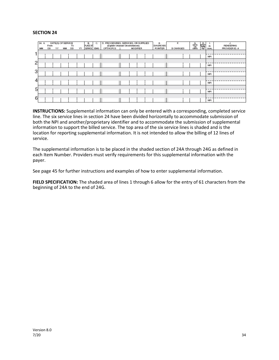#### **SECTION 24**

|   | 24. A<br>MM | From<br>DD. | YY | DATE(S) OF SERVICE<br>MМ | To<br>DD | YY | в.<br>PLACE OF<br>SERVICE EMG | C. | D. PROCEDURES, SERVICES, OR SUPPLIES<br>(Explain Unusual Circumstances)<br>CPT/HCPCS | <b>MODIFIER</b> |  | E.<br><b>DIAGNOSIS</b><br><b>POINTER</b> | F.<br>\$ CHARGES | G.<br>DAYS<br>UNITS | 국왕(H<br>Panay<br>Ran | ٠.<br>ID.<br>QUAL. | J.<br><b>RENDERING</b><br>PROVIDER ID. # |
|---|-------------|-------------|----|--------------------------|----------|----|-------------------------------|----|--------------------------------------------------------------------------------------|-----------------|--|------------------------------------------|------------------|---------------------|----------------------|--------------------|------------------------------------------|
|   |             |             |    |                          |          |    |                               |    |                                                                                      |                 |  |                                          |                  |                     |                      | <b>NPI</b>         |                                          |
| 2 |             |             |    |                          |          |    |                               |    |                                                                                      |                 |  |                                          |                  |                     |                      | <b>NPI</b>         |                                          |
| 3 |             |             |    |                          |          |    |                               |    |                                                                                      |                 |  |                                          |                  |                     |                      | <b>NPI</b>         |                                          |
| 4 |             |             |    |                          |          |    |                               |    |                                                                                      |                 |  |                                          |                  |                     |                      | <b>NPI</b>         |                                          |
| 5 |             |             |    |                          |          |    |                               |    |                                                                                      |                 |  |                                          |                  |                     |                      | <b>NPI</b>         |                                          |
| 6 |             |             |    |                          |          |    |                               |    |                                                                                      |                 |  |                                          |                  |                     |                      | <b>NPI</b>         |                                          |

**INSTRUCTIONS:** Supplemental information can only be entered with a corresponding, completed service line. The six service lines in section 24 have been divided horizontally to accommodate submission of both the NPI and another/proprietary identifier and to accommodate the submission of supplemental information to support the billed service. The top area of the six service lines is shaded and is the location for reporting supplemental information. It is not intended to allow the billing of 12 lines of service.

The supplemental information is to be placed in the shaded section of 24A through 24G as defined in each Item Number. Providers must verify requirements for this supplemental information with the payer.

See page 45 for further instructions and examples of how to enter supplemental information.

**FIELD SPECIFICATION:** The shaded area of lines 1 through 6 allow for the entry of 61 characters from the beginning of 24A to the end of 24G.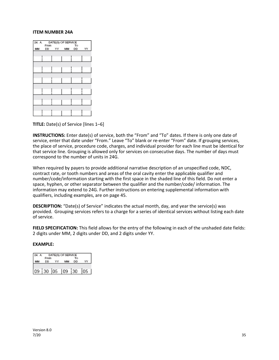#### **ITEM NUMBER 24A**



**TITLE:** Date(s) of Service [lines 1–6]

**INSTRUCTIONS:** Enter date(s) of service, both the "From" and "To" dates. If there is only one date of service, enter that date under "From." Leave "To" blank or re-enter "From" date. If grouping services, the place of service, procedure code, charges, and individual provider for each line must be identical for that service line. Grouping is allowed only for services on consecutive days. The number of days must correspond to the number of units in 24G.

When required by payers to provide additional narrative description of an unspecified code, NDC, contract rate, or tooth numbers and areas of the oral cavity enter the applicable qualifier and number/code/information starting with the first space in the shaded line of this field. Do not enter a space, hyphen, or other separator between the qualifier and the number/code/ information. The information may extend to 24G. Further instructions on entering supplemental information with qualifiers, including examples, are on page 45.

**DESCRIPTION:** "Date(s) of Service" indicates the actual month, day, and year the service(s) was provided. Grouping services refers to a charge for a series of identical services without listing each date of service.

**FIELD SPECIFICATION:** This field allows for the entry of the following in each of the unshaded date fields: 2 digits under MM, 2 digits under DD, and 2 digits under YY.

| 24. A | From |             | DATE(S) OF SERVICE | Τо |  |
|-------|------|-------------|--------------------|----|--|
|       | DD   |             | MM                 | DD |  |
|       |      |             |                    |    |  |
|       |      | 09 30 05 09 |                    | 30 |  |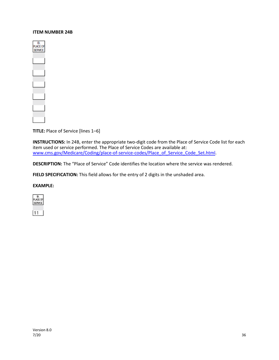#### **ITEM NUMBER 24B**



**TITLE:** Place of Service [lines 1–6]

**INSTRUCTIONS:** In 24B, enter the appropriate two-digit code from the Place of Service Code list for each item used or service performed. The Place of Service Codes are available at: [www.cms.gov/Medicare/Coding/place-of-service-codes/Place\\_of\\_Service\\_Code\\_Set.html.](http://www.cms.gov/Medicare/Coding/place-of-service-codes/Place_of_Service_Code_Set.html)

**DESCRIPTION:** The "Place of Service" Code identifies the location where the service was rendered.

FIELD SPECIFICATION: This field allows for the entry of 2 digits in the unshaded area.

#### **EXAMPLE:**



11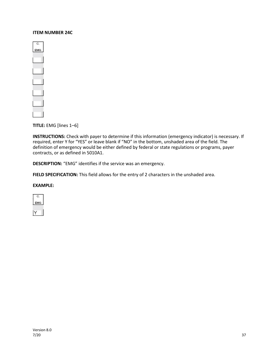#### **ITEM NUMBER 24C**



**TITLE:** EMG [lines 1–6]

**INSTRUCTIONS:** Check with payer to determine if this information (emergency indicator) is necessary. If required, enter Y for "YES" or leave blank if "NO" in the bottom, unshaded area of the field. The definition of emergency would be either defined by federal or state regulations or programs, payer contracts, or as defined in 5010A1.

**DESCRIPTION:** "EMG" identifies if the service was an emergency.

**FIELD SPECIFICATION:** This field allows for the entry of 2 characters in the unshaded area.

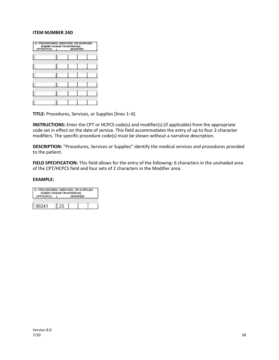#### **ITEM NUMBER 24D**

| сртінсься | D. PROCEDURES, SERVICES, OR SUPPLIES<br>(Explain Unusual Circumstances)<br><b>MODIFIER</b><br>$\mathbf{L}$ |
|-----------|------------------------------------------------------------------------------------------------------------|
|           |                                                                                                            |
|           |                                                                                                            |
|           |                                                                                                            |
|           |                                                                                                            |
|           |                                                                                                            |
|           |                                                                                                            |

**TITLE:** Procedures, Services, or Supplies [lines 1–6]

**INSTRUCTIONS:** Enter the CPT or HCPCS code(s) and modifier(s) (if applicable) from the appropriate code set in effect on the date of service. This field accommodates the entry of up to four 2-character modifiers. The specific procedure code(s) must be shown without a narrative description.

**DESCRIPTION:** "Procedures, Services or Supplies" identify the medical services and procedures provided to the patient.

**FIELD SPECIFICATION:** This field allows for the entry of the following: 6 characters in the unshaded area of the CPT/HCPCS field and four sets of 2 characters in the Modifier area.

| D. PROCEDURES, SERVICES, OR SUPPLIES<br>(Explain Unusual Circumstances)<br>CPT/HCPCS<br><b>MODIFIER</b> |    |  |  |  |  |  |  |
|---------------------------------------------------------------------------------------------------------|----|--|--|--|--|--|--|
| 99241                                                                                                   | ን. |  |  |  |  |  |  |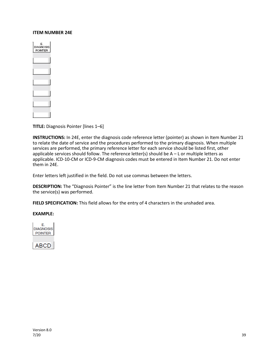#### **ITEM NUMBER 24E**

| E.<br>DIAGNOSIS<br>POINTER |  |
|----------------------------|--|
|                            |  |
|                            |  |
|                            |  |
|                            |  |
|                            |  |
|                            |  |

**TITLE:** Diagnosis Pointer [lines 1–6]

**INSTRUCTIONS:** In 24E, enter the diagnosis code reference letter (pointer) as shown in Item Number 21 to relate the date of service and the procedures performed to the primary diagnosis. When multiple services are performed, the primary reference letter for each service should be listed first, other applicable services should follow. The reference letter(s) should be A – L or multiple letters as applicable. ICD-10-CM or ICD-9-CM diagnosis codes must be entered in Item Number 21. Do not enter them in 24E.

Enter letters left justified in the field. Do not use commas between the letters.

**DESCRIPTION:** The "Diagnosis Pointer" is the line letter from Item Number 21 that relates to the reason the service(s) was performed.

**FIELD SPECIFICATION:** This field allows for the entry of 4 characters in the unshaded area.

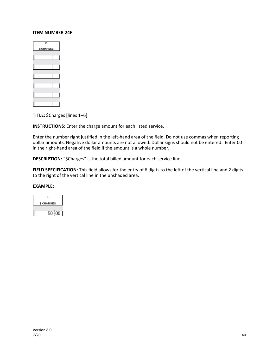#### **ITEM NUMBER 24F**

| F.<br>S CHARGES |
|-----------------|
|                 |
|                 |
|                 |
|                 |
|                 |
|                 |

**TITLE:** \$Charges [lines 1–6]

**INSTRUCTIONS:** Enter the charge amount for each listed service.

Enter the number right justified in the left-hand area of the field. Do not use commas when reporting dollar amounts. Negative dollar amounts are not allowed. Dollar signs should not be entered. Enter 00 in the right-hand area of the field if the amount is a whole number.

**DESCRIPTION:** "\$Charges" is the total billed amount for each service line.

**FIELD SPECIFICATION:** This field allows for the entry of 6 digits to the left of the vertical line and 2 digits to the right of the vertical line in the unshaded area.

| F.        |
|-----------|
| \$CHARGES |
|           |
| 50        |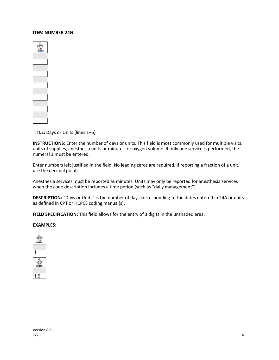#### **ITEM NUMBER 24G**

| r<br>s |
|--------|
|        |
|        |
|        |
|        |
| ٦      |
|        |

**TITLE:** Days or Units [lines 1–6]

**INSTRUCTIONS:** Enter the number of days or units. This field is most commonly used for multiple visits, units of supplies, anesthesia units or minutes, or oxygen volume. If only one service is performed, the numeral 1 must be entered.

Enter numbers left justified in the field. No leading zeros are required. If reporting a fraction of a unit, use the decimal point.

Anesthesia services must be reported as minutes. Units may only be reported for anesthesia services when the code description includes a time period (such as "daily management").

**DESCRIPTION:** "Days or Units" is the number of days corresponding to the dates entered in 24A or units as defined in CPT or HCPCS coding manual(s).

FIELD SPECIFICATION: This field allows for the entry of 3 digits in the unshaded area.

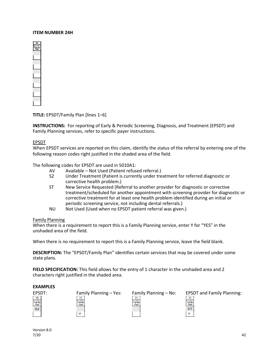#### **ITEM NUMBER 24H**



**TITLE:** EPSDT/Family Plan [lines 1–6]

**INSTRUCTIONS:** For reporting of Early & Periodic Screening, Diagnosis, and Treatment (EPSDT) and Family Planning services, refer to specific payer instructions.

#### EPSDT

When EPSDT services are reported on this claim, identify the status of the referral by entering one of the following reason codes right justified in the shaded area of the field.

The following codes for EPSDT are used in 5010A1:

- AV Available Not Used (Patient refused referral.)
- S2 Under Treatment (Patient is currently under treatment for referred diagnostic or corrective health problem.)
- ST New Service Requested (Referral to another provider for diagnostic or corrective treatment/scheduled for another appointment with screening provider for diagnostic or corrective treatment for at least one health problem identified during an initial or periodic screening service, not including dental referrals.)
- NU Not Used (Used when no EPSDT patient referral was given.)

#### Family Planning

When there is a requirement to report this is a Family Planning service, enter Y for "YES" in the unshaded area of the field.

When there is no requirement to report this is a Family Planning service, leave the field blank.

**DESCRIPTION:** The "EPSDT/Family Plan" identifies certain services that may be covered under some state plans.

**FIELD SPECIFICATION:** This field allows for the entry of 1 character in the unshaded area and 2 characters right justified in the shaded area.

#### **EXAMPLES**





|  | Family Planning $-$ N |  |
|--|-----------------------|--|
|  |                       |  |

| ۰ |
|---|
|   |
|   |

Version 8.0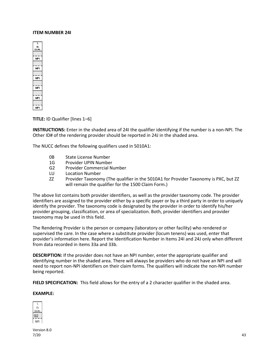#### **ITEM NUMBER 24I**



**TITLE:** ID Qualifier [lines 1–6]

**INSTRUCTIONS:** Enter in the shaded area of 24I the qualifier identifying if the number is a non-NPI. The Other ID# of the rendering provider should be reported in 24J in the shaded area.

The NUCC defines the following qualifiers used in 5010A1:

- 0B State License Number
- 1G Provider UPIN Number
- G2 Provider Commercial Number
- LU Location Number
- ZZ Provider Taxonomy (The qualifier in the 5010A1 for Provider Taxonomy is PXC, but ZZ will remain the qualifier for the 1500 Claim Form.)

The above list contains both provider identifiers, as well as the provider taxonomy code. The provider identifiers are assigned to the provider either by a specific payer or by a third party in order to uniquely identify the provider. The taxonomy code is designated by the provider in order to identify his/her provider grouping, classification, or area of specialization. Both, provider identifiers and provider taxonomy may be used in this field.

The Rendering Provider is the person or company (laboratory or other facility) who rendered or supervised the care. In the case where a substitute provider (locum tenens) was used, enter that provider's information here. Report the Identification Number in Items 24I and 24J only when different from data recorded in items 33a and 33b.

**DESCRIPTION:** If the provider does not have an NPI number, enter the appropriate qualifier and identifying number in the shaded area. There will always be providers who do not have an NPI and will need to report non-NPI identifiers on their claim forms. The qualifiers will indicate the non-NPI number being reported.

**FIELD SPECIFICATION:** This field allows for the entry of a 2 character qualifier in the shaded area.

#### **EXAMPLE:**



Version 8.0 7/20 43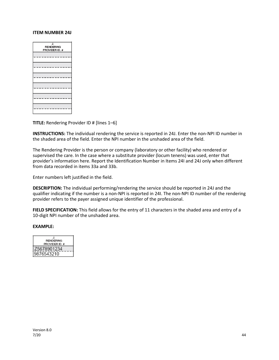#### **ITEM NUMBER 24J**

| J<br><b>RENDERING</b><br>PROVIDER ID. # |
|-----------------------------------------|
|                                         |
|                                         |
|                                         |
|                                         |
|                                         |
|                                         |
|                                         |
|                                         |

**TITLE:** Rendering Provider ID # [lines 1–6]

**INSTRUCTIONS:** The individual rendering the service is reported in 24J. Enter the non-NPI ID number in the shaded area of the field. Enter the NPI number in the unshaded area of the field.

The Rendering Provider is the person or company (laboratory or other facility) who rendered or supervised the care. In the case where a substitute provider (locum tenens) was used, enter that provider's information here. Report the Identification Number in Items 24I and 24J only when different from data recorded in items 33a and 33b.

Enter numbers left justified in the field.

**DESCRIPTION:** The individual performing/rendering the service should be reported in 24J and the qualifier indicating if the number is a non-NPI is reported in 24I. The non-NPI ID number of the rendering provider refers to the payer assigned unique identifier of the professional.

**FIELD SPECIFICATION:** This field allows for the entry of 11 characters in the shaded area and entry of a 10-digit NPI number of the unshaded area.

| <b>RENDERING</b> |
|------------------|
| PROVIDER ID. #   |
|                  |
|                  |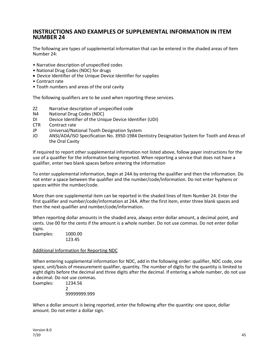## **INSTRUCTIONS AND EXAMPLES OF SUPPLEMENTAL INFORMATION IN ITEM NUMBER 24**

The following are types of supplemental information that can be entered in the shaded areas of Item Number 24:

- Narrative description of unspecified codes
- National Drug Codes (NDC) for drugs
- Device Identifier of the Unique Device Identifier for supplies
- Contract rate
- Tooth numbers and areas of the oral cavity

The following qualifiers are to be used when reporting these services.

- ZZ Narrative description of unspecified code
- N4 National Drug Codes (NDC)
- DI Device Identifier of the Unique Device Identifier (UDI)
- CTR Contract rate
- JP Universal/National Tooth Designation System
- JO ANSI/ADA/ISO Specification No. 3950-1984 Dentistry Designation System for Tooth and Areas of the Oral Cavity

If required to report other supplemental information not listed above, follow payer instructions for the use of a qualifier for the information being reported. When reporting a service that does not have a qualifier, enter two blank spaces before entering the information

To enter supplemental information, begin at 24A by entering the qualifier and then the information. Do not enter a space between the qualifier and the number/code/information. Do not enter hyphens or spaces within the number/code.

More than one supplemental item can be reported in the shaded lines of Item Number 24. Enter the first qualifier and number/code/information at 24A. After the first item, enter three blank spaces and then the next qualifier and number/code/information.

When reporting dollar amounts in the shaded area, always enter dollar amount, a decimal point, and cents. Use 00 for the cents if the amount is a whole number. Do not use commas. Do not enter dollar signs.

Examples: 1000.00 123.45

#### Additional Information for Reporting NDC

When entering supplemental information for NDC, add in the following order: qualifier, NDC code, one space, unit/basis of measurement qualifier, quantity. The number of digits for the quantity is limited to eight digits before the decimal and three digits after the decimal. If entering a whole number, do not use a decimal. Do not use commas.

Examples: 1234.56 2 99999999.999

When a dollar amount is being reported, enter the following after the quantity: one space, dollar amount. Do not enter a dollar sign.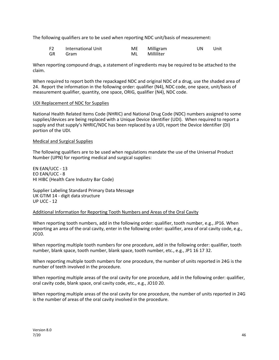The following qualifiers are to be used when reporting NDC unit/basis of measurement:

| F <sub>2</sub> | International Unit | ME. | Milligram  | UN | Unit |
|----------------|--------------------|-----|------------|----|------|
| GR             | Gram               | ML  | Milliliter |    |      |

When reporting compound drugs, a statement of ingredients may be required to be attached to the claim.

When required to report both the repackaged NDC and original NDC of a drug, use the shaded area of 24. Report the information in the following order: qualifier (N4), NDC code, one space, unit/basis of measurement qualifier, quantity, one space, ORIG, qualifier (N4), NDC code.

#### UDI Replacement of NDC for Supplies

National Health Related Items Code (NHRIC) and National Drug Code (NDC) numbers assigned to some supplies/devices are being replaced with a Unique Device Identifier (UDI). When required to report a supply and that supply's NHRIC/NDC has been replaced by a UDI, report the Device Identifier (DI) portion of the UDI.

#### Medical and Surgical Supplies

The following qualifiers are to be used when regulations mandate the use of the Universal Product Number (UPN) for reporting medical and surgical supplies:

EN EAN/UCC - 13 EO EAN/UCC - 8 HI HIBC (Health Care Industry Bar Code)

Supplier Labeling Standard Primary Data Message UK GTIM 14 - digit data structure UP UCC - 12

#### Additional Information for Reporting Tooth Numbers and Areas of the Oral Cavity

When reporting tooth numbers, add in the following order: qualifier, tooth number, e.g., JP16. When reporting an area of the oral cavity, enter in the following order: qualifier, area of oral cavity code, e.g., JO10.

When reporting multiple tooth numbers for one procedure, add in the following order: qualifier, tooth number, blank space, tooth number, blank space, tooth number, etc., e.g., JP1 16 17 32.

When reporting multiple tooth numbers for one procedure, the number of units reported in 24G is the number of teeth involved in the procedure.

When reporting multiple areas of the oral cavity for one procedure, add in the following order: qualifier, oral cavity code, blank space, oral cavity code, etc., e.g., JO10 20.

When reporting multiple areas of the oral cavity for one procedure, the number of units reported in 24G is the number of areas of the oral cavity involved in the procedure.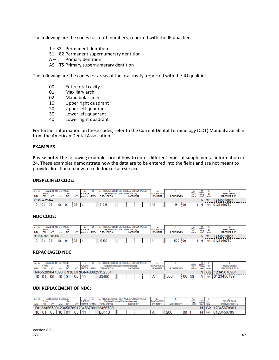The following are the codes for tooth numbers, reported with the JP qualifier:

- 1 32 Permanent dentition
- 51 82 Permanent supernumerary dentition
- $A T$  Primary dentition
- AS TS Primary supernumerary dentition

The following are the codes for areas of the oral cavity, reported with the JO qualifier:

- 00 Entire oral cavity
- 01 Maxillary arch<br>02 Mandibular ard
- Mandibular arch
- 10 Upper right quadrant
- 20 Upper left quadrant
- 30 Lower left quadrant
- 40 Lower right quadrant

For further information on these codes, refer to the Current Dental Terminology (CDT) Manual available from the American Dental Association.

#### **EXAMPLES**

**Please note:** The following examples are of how to enter different types of supplemental information in 24. These examples demonstrate how the data are to be entered into the fields and are not meant to provide direction on how to code for certain services.

#### **UNSPECIFIED CODE:**

| 24. A.    | From           | DATE(S) OF SERVICE |           | ۱о  |      | В.<br>PLACE OF |            | PROCEDURES, SERVICES, OR SUPPLIES<br>(Explain Unusual Circumstances) |  |                 |  |  | <b>.</b><br><b>DIAGNOSIS</b> |  |                  |    | G.                  | н.<br><b>EPSDT</b><br>Family |            | <b>RENDERING</b> |
|-----------|----------------|--------------------|-----------|-----|------|----------------|------------|----------------------------------------------------------------------|--|-----------------|--|--|------------------------------|--|------------------|----|---------------------|------------------------------|------------|------------------|
| <b>MM</b> | <b>DD</b>      |                    | <b>MM</b> | DD  |      | <b>SERVICE</b> | <b>EMG</b> | <b>CPT/HCPCS</b>                                                     |  | <b>MODIFIER</b> |  |  | <b>POINTER</b>               |  | <b>S CHARGES</b> |    | DAYS<br>OR<br>UNITS | Plan                         | QUAL.      | PROVIDER ID. #   |
|           | ZZ Kave Walker |                    |           |     |      |                |            |                                                                      |  |                 |  |  |                              |  |                  |    | G <sub>2</sub>      | 12345678901                  |            |                  |
| 10        | 0 <sub>1</sub> | '05                | 10        | 101 | i 05 | -11            |            | E1399                                                                |  |                 |  |  | AB                           |  | 165              | 00 |                     | N                            | <b>NPI</b> | 0123456789       |

#### **NDC CODE:**

| 24. A.            |      | DATE(S) OF SERVICE |    |           |      | В.             |            | PROCEDURES, SERVICES, OR SUPPLIES |  |                 |  |                  |                  |     | G.           | н.                 |             |                  |
|-------------------|------|--------------------|----|-----------|------|----------------|------------|-----------------------------------|--|-----------------|--|------------------|------------------|-----|--------------|--------------------|-------------|------------------|
|                   | From |                    |    | ١o        |      | PLACE OF       |            | (Explain Unusual Circumstances)   |  |                 |  | <b>DIAGNOSIS</b> |                  |     | DAYS<br>OR   | EPSD <sub>1</sub>  |             | <b>RENDERING</b> |
| <b>MM</b>         | DD   |                    | ΜM | <b>DD</b> |      | <b>SERVICE</b> | <b>EMG</b> | <b>CPT/HCPCS</b>                  |  | <b>MODIFIER</b> |  | <b>POINTER</b>   | <b>S CHARGES</b> |     | <b>UNITS</b> | Plan               | QUAL.       | PROVIDER ID. #   |
| N459148001665 UN1 |      |                    |    |           |      |                |            |                                   |  |                 |  |                  |                  |     |              | $N$ G <sub>2</sub> | 12345678901 |                  |
| 10                | 01   | 05                 | 10 | i 01      | ' 05 |                |            | J0400                             |  |                 |  |                  | 500              | 100 |              | $\overline{N}$     | <b>NPI</b>  | 0123456789       |

#### **REPACKAGED NDC:**

| 24.        |                                      |    | DATE(S) OF SERVICE |           |    | В.              |  | PROCEDURES, SERVICES, OR SUPPLIES |  |                 |  |                  |                   |                 | G.<br>Days |                         |             |                       |
|------------|--------------------------------------|----|--------------------|-----------|----|-----------------|--|-----------------------------------|--|-----------------|--|------------------|-------------------|-----------------|------------|-------------------------|-------------|-----------------------|
|            | From                                 |    |                    | 10        |    | <b>PLACE OF</b> |  | (Explain Unusual Circumstances)   |  |                 |  | <b>DIAGNOSIS</b> |                   |                 |            | <b>EPSDT</b><br>Family, | ID.         | <b>RENDERING</b>      |
| <b>MM</b>  | <b>DD</b>                            |    | МM                 | <b>DD</b> | vv | SERVICE EMG     |  | CPT/HCPCS                         |  | <b>MODIFIER</b> |  | <b>POINTER</b>   | <b>\$ CHARGES</b> |                 | <b>OR</b>  |                         | <b>QUAL</b> | <b>PROVIDER ID. #</b> |
|            | N455289047590 UN30 ORIGN400025152531 |    |                    |           |    |                 |  |                                   |  |                 |  |                  |                   |                 |            | G2                      | 12345678901 |                       |
| $10^{1}01$ |                                      | 05 | 10                 | 01        | 05 |                 |  | J3490                             |  |                 |  | A                | 500               | 00 <sub>1</sub> | -30        | N                       | <b>NPI</b>  | 0123456789            |

#### **UDI REPLACEMENT OF NDC:**

| 24. A |                    | DATE(S) OF SERVICE |           |           |    | в.              | PROCEDURES, SERVICES, OR SUPPLIES      |                 |  |                  |                  |      |              |                |             |                       |
|-------|--------------------|--------------------|-----------|-----------|----|-----------------|----------------------------------------|-----------------|--|------------------|------------------|------|--------------|----------------|-------------|-----------------------|
|       | From               |                    |           |           |    | <b>PLACE OF</b> | (Explain Unusual Circumstances)        |                 |  | <b>DIAGNOSIS</b> |                  |      | 嘧            | ₽SÖT           |             | <b>RENDERING</b>      |
| MМ    | <b>DD</b>          |                    | <b>MM</b> | <b>DD</b> |    | SERVICE EMG     | <b>CPT/HCPCS</b>                       | <b>MODIFIER</b> |  | <b>POINTER</b>   | <b>S CHARGES</b> |      | <b>UNITS</b> | Family<br>Plan | <b>QUAL</b> | <b>PROVIDER ID. #</b> |
|       |                    |                    |           |           |    |                 | DI123456789123456789123456789123456789 |                 |  |                  |                  |      |              |                |             | G2 12345678901        |
|       | $10^{+}$ 01 $^{-}$ | 05                 | 10 i      | 01        | 05 | l 11            | E0110                                  |                 |  |                  | 200              | 00 l |              | Ν              | <b>NPI</b>  | 0123456789            |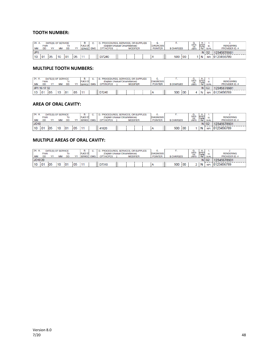#### **TOOTH NUMBER:**

| 24. A.    | <b>From</b> |    | DATE(S) OF SERVICE |     |    | В.<br><b>PLACE OF</b> |            | PROCEDURES, SERVICES, OR SUPPLIES<br>(Explain Unusual Circumstances) |                 |  | <b>DIAGNOSIS</b> |                   |    | G.<br><b>DAYS</b>  |                         | ID.                | <b>RENDERING</b> |
|-----------|-------------|----|--------------------|-----|----|-----------------------|------------|----------------------------------------------------------------------|-----------------|--|------------------|-------------------|----|--------------------|-------------------------|--------------------|------------------|
| <b>MM</b> | DD          | vv | <b>MM</b>          | DD  | w  | <b>SERVICE</b>        | <b>EMG</b> | <b>CPT/HCPCS</b>                                                     | <b>MODIFIER</b> |  | <b>POINTER</b>   | <b>\$ CHARGES</b> |    | OR<br><b>UNITS</b> | EPSOT<br>Family<br>Plan | QUAL               | PROVIDER ID. #   |
| JP'       |             |    |                    |     |    |                       |            |                                                                      |                 |  |                  |                   |    |                    |                         | $N$ G <sub>2</sub> | 12345678901      |
| 10        | 01          | 05 |                    | i01 | 05 |                       |            | D7240                                                                |                 |  | A                | 500               | 00 |                    | N                       | <b>NPI</b>         | 0123456789       |

#### **MULTIPLE TOOTH NUMBERS:**

| 24. A. |              |     | DATE(S) OF SERVICE |           |    | В.              |            | PROCEDURES, SERVICES, OR SUPPLIES |                 |  |                  |                  |     | G.                  | Н.              |            |                  |
|--------|--------------|-----|--------------------|-----------|----|-----------------|------------|-----------------------------------|-----------------|--|------------------|------------------|-----|---------------------|-----------------|------------|------------------|
|        | From         |     |                    | To        |    | <b>PLACE OF</b> |            | (Explain Unusual Circumstances)   |                 |  | <b>DIAGNOSIS</b> |                  |     | DAYS<br>OR<br>UNITS | EPSDT<br>Family |            | <b>RENDERING</b> |
| MM     | <b>DD</b>    |     | MM                 | <b>DD</b> | w  | SERVICE.        | <b>EMG</b> | <b>CPT/HCPCS</b>                  | <b>MODIFIER</b> |  | <b>POINTER</b>   | <b>S CHARGES</b> |     |                     | Plan            | QUAL.      | PROVIDER ID. #   |
|        | JP1 16 17 32 |     |                    |           |    |                 |            |                                   |                 |  |                  |                  |     |                     |                 | $N$ $G2$   | 12345678901      |
| 10     | 01           | i05 | 10                 | 01        | 05 |                 |            | D7240                             |                 |  |                  | 500              | 100 |                     | N               | <b>NPI</b> | 0123456789       |

#### **AREA OF ORAL CAVITY:**

| 24. A. |      |             |     | DATE(S) OF SERVICE |                |    | в.              |            | PROCEDURES, SERVICES, OR SUPPLIES |                 |  |                  |            |     | G.           | н.                     |                    |                  |
|--------|------|-------------|-----|--------------------|----------------|----|-----------------|------------|-----------------------------------|-----------------|--|------------------|------------|-----|--------------|------------------------|--------------------|------------------|
|        |      | <b>From</b> |     |                    | Τо             |    | <b>PLACE OF</b> |            | (Explain Unusual Circumstances)   |                 |  | <b>DIAGNOSIS</b> |            |     | DAYS<br>OR   | <b>EPSDT</b><br>Family |                    | <b>RENDERING</b> |
| МM     | DD   |             |     | MA.                | <b>DD</b>      |    | <b>SERVICI</b>  | <b>EMG</b> | <b>CPT/HCPCS</b>                  | <b>MODIFIER</b> |  | <b>POINTER</b>   | \$ CHARGES |     | <b>UNITS</b> | Plan                   | QUAL.              | PROVIDER ID. #   |
| JO10   |      |             |     |                    |                |    |                 |            |                                   |                 |  |                  |            |     |              |                        | $N$ G <sub>2</sub> | 12345678901      |
| 10     | 0٠ ا |             | i05 | 10                 | 0 <sub>1</sub> | 05 | 11              |            | 41820                             |                 |  |                  | 500        | :00 |              | N                      | <b>NPI</b>         | 0123456789       |

#### **MULTIPLE AREAS OF ORAL CAVITY:**

| 24. A.  |                |    | DATE(S) OF SERVICE |                |    | в.              |            | PROCEDURES, SERVICES, OR SUPPLIES |  |                 | <b>March 4</b>   |                |            | G.         | н.                     |      |                    |                |
|---------|----------------|----|--------------------|----------------|----|-----------------|------------|-----------------------------------|--|-----------------|------------------|----------------|------------|------------|------------------------|------|--------------------|----------------|
|         | <b>From</b>    |    |                    | Гο             |    | <b>PLACE OF</b> |            | (Explain Unusual Circumstances)   |  |                 | <b>DIAGNOSIS</b> |                |            | DAYS<br>OR | <b>EPSDT</b><br>Family |      | <b>RENDERING</b>   |                |
| MM      | DD             |    | <b>MAR</b>         | DD             |    | <b>SERVIC:</b>  | <b>EMG</b> | <b>CPT/HCPCS</b>                  |  | <b>MODIFIER</b> |                  | <b>POINTER</b> | \$ CHARGES |            | <b>UNITS</b>           | Plan | <b>QUAL.</b>       | PROVIDER ID. # |
| JO10 20 |                |    |                    |                |    |                 |            |                                   |  |                 |                  |                |            |            |                        |      | $N$ G <sub>2</sub> | 12345678901    |
| 10      | 0 <sup>1</sup> | 05 | 10                 | 0 <sub>1</sub> | 05 |                 |            | D7310                             |  |                 |                  |                | 500        | 100        |                        | N    | <b>NPI</b>         | 0123456789     |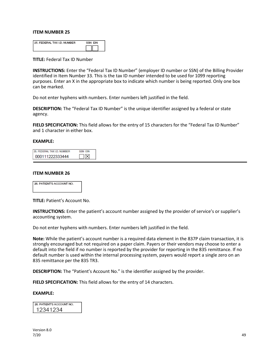| <b>25. FEDERAL TAX I.D. NUMBER</b> | SSN FIN |
|------------------------------------|---------|
|                                    |         |

**TITLE:** Federal Tax ID Number

**INSTRUCTIONS:** Enter the "Federal Tax ID Number" (employer ID number or SSN) of the Billing Provider identified in Item Number 33. This is the tax ID number intended to be used for 1099 reporting purposes. Enter an X in the appropriate box to indicate which number is being reported. Only one box can be marked.

Do not enter hyphens with numbers. Enter numbers left justified in the field.

**DESCRIPTION:** The "Federal Tax ID Number" is the unique identifier assigned by a federal or state agency.

**FIELD SPECIFICATION:** This field allows for the entry of 15 characters for the "Federal Tax ID Number" and 1 character in either box.

#### **EXAMPLE:**

| 25. FEDERAL TAX I.D. NUMBER | SSN FIN |
|-----------------------------|---------|
| 000111222333444             |         |

#### **ITEM NUMBER 26**



**TITLE:** Patient's Account No.

**INSTRUCTIONS:** Enter the patient's account number assigned by the provider of service's or supplier's accounting system.

Do not enter hyphens with numbers. Enter numbers left justified in the field.

**Note:** While the patient's account number is a required data element in the 837P claim transaction, it is strongly encouraged but not required on a paper claim. Payers or their vendors may choose to enter a default into the field if no number is reported by the provider for reporting in the 835 remittance. If no default number is used within the internal processing system, payers would report a single zero on an 835 remittance per the 835 TR3.

**DESCRIPTION:** The "Patient's Account No." is the identifier assigned by the provider.

**FIELD SPECIFICATION:** This field allows for the entry of 14 characters.

#### **EXAMPLE:**

26. PATIENT'S ACCOUNT NO. 12341234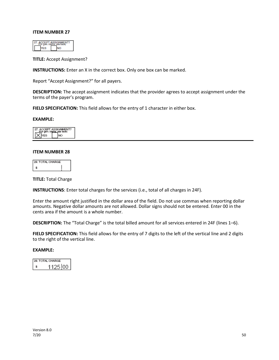**TITLE:** Accept Assignment?

**INSTRUCTIONS:** Enter an X in the correct box. Only one box can be marked.

Report "Accept Assignment?" for all payers.

**DESCRIPTION:** The accept assignment indicates that the provider agrees to accept assignment under the terms of the payer's program.

**FIELD SPECIFICATION:** This field allows for the entry of 1 character in either box.

#### **EXAMPLE:**

| ٠ |
|---|
|   |

#### **ITEM NUMBER 28**

| 28. TOTAL CHARGE |  |
|------------------|--|
|                  |  |

**TITLE:** Total Charge

**INSTRUCTIONS**: Enter total charges for the services (i.e., total of all charges in 24F).

Enter the amount right justified in the dollar area of the field. Do not use commas when reporting dollar amounts. Negative dollar amounts are not allowed. Dollar signs should not be entered. Enter 00 in the cents area if the amount is a whole number.

**DESCRIPTION:** The "Total Charge" is the total billed amount for all services entered in 24F (lines 1–6).

**FIELD SPECIFICATION:** This field allows for the entry of 7 digits to the left of the vertical line and 2 digits to the right of the vertical line.

| 28. TOTAL CHARGE |
|------------------|
| 125100           |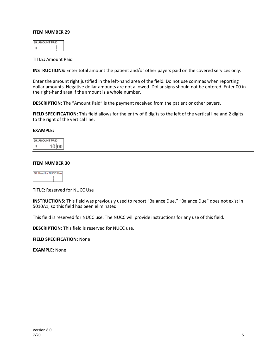**TITLE:** Amount Paid

**INSTRUCTIONS:** Enter total amount the patient and/or other payers paid on the covered services only.

Enter the amount right justified in the left-hand area of the field. Do not use commas when reporting dollar amounts. Negative dollar amounts are not allowed. Dollar signs should not be entered. Enter 00 in the right-hand area if the amount is a whole number.

**DESCRIPTION:** The "Amount Paid" is the payment received from the patient or other payers.

**FIELD SPECIFICATION:** This field allows for the entry of 6 digits to the left of the vertical line and 2 digits to the right of the vertical line.

#### **EXAMPLE:**

| <b>MOUNT PAID</b> |  |
|-------------------|--|
| $10$ loo          |  |

#### **ITEM NUMBER 30**

| for<br><b>BARBA</b> | ۰M |
|---------------------|----|
|                     |    |
|                     |    |

**TITLE:** Reserved for NUCC Use

**INSTRUCTIONS:** This field was previously used to report "Balance Due." "Balance Due" does not exist in 5010A1, so this field has been eliminated.

This field is reserved for NUCC use. The NUCC will provide instructions for any use of this field.

**DESCRIPTION:** This field is reserved for NUCC use.

**FIELD SPECIFICATION:** None

**EXAMPLE:** None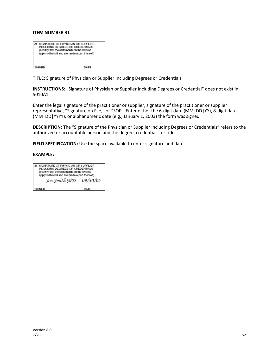| 31. SIGNATURE OF PHYSICIAN OR SUPPLIER<br>INCLUDING DEGREES OR CREDENTIALS<br>(I certify that the statements on the reverse<br>apply to this bill and are made a part thereof.) |      |
|---------------------------------------------------------------------------------------------------------------------------------------------------------------------------------|------|
| SIGNED                                                                                                                                                                          | DATE |

**TITLE:** Signature of Physician or Supplier Including Degrees or Credentials

**INSTRUCTIONS:** "Signature of Physician or Supplier Including Degrees or Credential" does not exist in 5010A1.

Enter the legal signature of the practitioner or supplier, signature of the practitioner or supplier representative, "Signature on File," or "SOF." Enter either the 6-digit date (MM|DD|YY), 8-digit date (MM|DD|YYYY), or alphanumeric date (e.g., January 1, 2003) the form was signed.

**DESCRIPTION:** The "Signature of the Physician or Supplier Including Degrees or Credentials" refers to the authorized or accountable person and the degree, credentials, or title.

**FIELD SPECIFICATION:** Use the space available to enter signature and date.

| 1. SIGNATURE OF PHYSICIAN OR SUPPLIER<br>INCLUDING DEGREES OR CREDENTIALS<br>(I certify that the statements on the reverse |          |  |  |  |
|----------------------------------------------------------------------------------------------------------------------------|----------|--|--|--|
| apply to this bill and are made a part thereof.)<br>Joe Smith MD                                                           | 09/30/05 |  |  |  |
|                                                                                                                            |          |  |  |  |
| SIGNED                                                                                                                     | DATE     |  |  |  |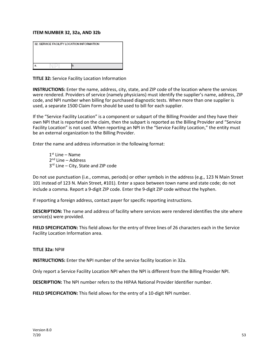#### **ITEM NUMBER 32, 32a, AND 32b**

| 32. SERVICE FACILITY LOCATION INFORMATION |  |  |
|-------------------------------------------|--|--|
|                                           |  |  |
|                                           |  |  |
|                                           |  |  |
|                                           |  |  |

**TITLE 32:** Service Facility Location Information

**INSTRUCTIONS:** Enter the name, address, city, state, and ZIP code of the location where the services were rendered. Providers of service (namely physicians) must identify the supplier's name, address, ZIP code, and NPI number when billing for purchased diagnostic tests. When more than one supplier is used, a separate 1500 Claim Form should be used to bill for each supplier.

If the "Service Facility Location" is a component or subpart of the Billing Provider and they have their own NPI that is reported on the claim, then the subpart is reported as the Billing Provider and "Service Facility Location" is not used. When reporting an NPI in the "Service Facility Location," the entity must be an external organization to the Billing Provider.

Enter the name and address information in the following format:

 $1<sup>st</sup>$  Line – Name 2<sup>nd</sup> Line – Address 3<sup>rd</sup> Line – City, State and ZIP code

Do not use punctuation (i.e., commas, periods) or other symbols in the address (e.g., 123 N Main Street 101 instead of 123 N. Main Street, #101). Enter a space between town name and state code; do not include a comma. Report a 9-digit ZIP code. Enter the 9-digit ZIP code without the hyphen.

If reporting a foreign address, contact payer for specific reporting instructions.

**DESCRIPTION:** The name and address of facility where services were rendered identifies the site where service(s) were provided.

**FIELD SPECIFICATION:** This field allows for the entry of three lines of 26 characters each in the Service Facility Location Information area.

#### **TITLE 32a:** NPI#

**INSTRUCTIONS:** Enter the NPI number of the service facility location in 32a.

Only report a Service Facility Location NPI when the NPI is different from the Billing Provider NPI.

**DESCRIPTION:** The NPI number refers to the HIPAA National Provider Identifier number.

**FIELD SPECIFICATION:** This field allows for the entry of a 10-digit NPI number.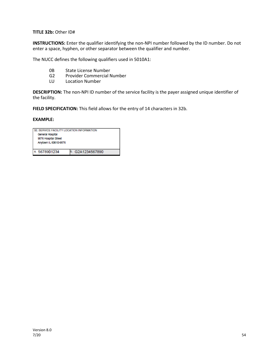**TITLE 32b:** Other ID#

**INSTRUCTIONS:** Enter the qualifier identifying the non-NPI number followed by the ID number. Do not enter a space, hyphen, or other separator between the qualifier and number.

The NUCC defines the following qualifiers used in 5010A1:

- 0B State License Number
- G2 Provider Commercial Number<br>LU Location Number
- Location Number

**DESCRIPTION:** The non-NPI ID number of the service facility is the payer assigned unique identifier of the facility.

**FIELD SPECIFICATION:** This field allows for the entry of 14 characters in 32b.

| 32. SERVICE FACILITY LOCATION INFORMATION |               |  |
|-------------------------------------------|---------------|--|
| General Hospital                          |               |  |
| 9876 Hospital Street                      |               |  |
| Anytown IL 60610-9876                     |               |  |
|                                           |               |  |
| a. 5678901234                             | G2A1234567890 |  |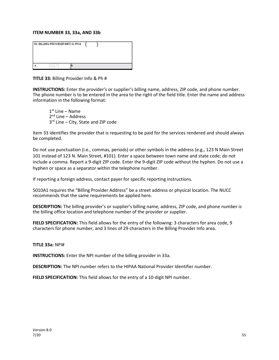#### **ITEM NUMBER 33, 33a, AND 33b**

| 33. BILLING PROVIDER INFO & PH # |  |
|----------------------------------|--|
|                                  |  |

**TITLE 33:** Billing Provider Info & Ph #

**INSTRUCTIONS:** Enter the provider's or supplier's billing name, address, ZIP code, and phone number. The phone number is to be entered in the area to the right of the field title. Enter the name and address information in the following format:

 $1<sup>st</sup>$  Line – Name  $2<sup>nd</sup>$  Line – Address 3<sup>rd</sup> Line – City, State and ZIP code

Item 33 identifies the provider that is requesting to be paid for the services rendered and should always be completed.

Do not use punctuation (i.e., commas, periods) or other symbols in the address (e.g., 123 N Main Street 101 instead of 123 N. Main Street, #101). Enter a space between town name and state code; do not include a comma. Report a 9-digit ZIP code. Enter the 9-digit ZIP code without the hyphen. Do not use a hyphen or space as a separator within the telephone number.

If reporting a foreign address, contact payer for specific reporting instructions.

5010A1 requires the "Billing Provider Address" be a street address or physical location. The NUCC recommends that the same requirements be applied here.

**DESCRIPTION:** The billing provider's or supplier's billing name, address, ZIP code, and phone number is the billing office location and telephone number of the provider or supplier.

**FIELD SPECIFICATION:** This field allows for the entry of the following: 3 characters for area code, 9 characters for phone number, and 3 lines of 29 characters in the Billing Provider Info area.

#### **TITLE 33a:** NPI#

**INSTRUCTIONS:** Enter the NPI number of the billing provider in 33a.

**DESCRIPTION:** The NPI number refers to the HIPAA National Provider Identifier number.

**FIELD SPECIFICATION:** This field allows for the entry of a 10-digit NPI number.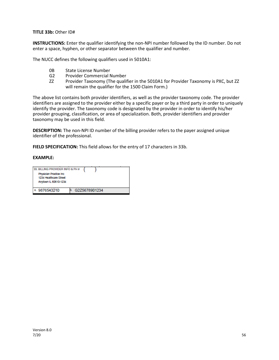**TITLE 33b:** Other ID#

**INSTRUCTIONS:** Enter the qualifier identifying the non-NPI number followed by the ID number. Do not enter a space, hyphen, or other separator between the qualifier and number.

The NUCC defines the following qualifiers used in 5010A1:

- 0B State License Number
- G2 Provider Commercial Number
- ZZ Provider Taxonomy (The qualifier in the 5010A1 for Provider Taxonomy is PXC, but ZZ will remain the qualifier for the 1500 Claim Form.)

The above list contains both provider identifiers, as well as the provider taxonomy code. The provider identifiers are assigned to the provider either by a specific payer or by a third party in order to uniquely identify the provider. The taxonomy code is designated by the provider in order to identify his/her provider grouping, classification, or area of specialization. Both, provider identifiers and provider taxonomy may be used in this field.

**DESCRIPTION:** The non-NPI ID number of the billing provider refers to the payer assigned unique identifier of the professional.

**FIELD SPECIFICATION:** This field allows for the entry of 17 characters in 33b.

| 33. BILLING PROVIDER INFO & PH #<br>Physician Practice Inc.<br>1234 Healthcare Street<br>Anytown IL 60610-1234 |               |
|----------------------------------------------------------------------------------------------------------------|---------------|
| 9876543210                                                                                                     | G2Z5678901234 |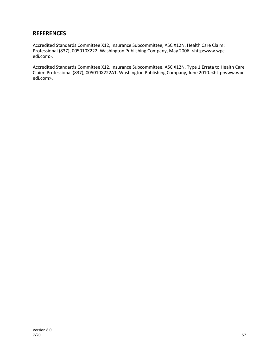## **REFERENCES**

Accredited Standards Committee X12, Insurance Subcommittee, ASC X12N. Health Care Claim: Professional (837), 005010X222. Washington Publishing Company, May 2006. <http:www.wpcedi.com>.

Accredited Standards Committee X12, Insurance Subcommittee, ASC X12N. Type 1 Errata to Health Care Claim: Professional (837), 005010X222A1. Washington Publishing Company, June 2010. <http:www.wpcedi.com>.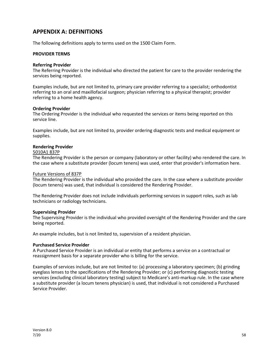## **APPENDIX A: DEFINITIONS**

The following definitions apply to terms used on the 1500 Claim Form.

#### **PROVIDER TERMS**

#### **Referring Provider**

The Referring Provider is the individual who directed the patient for care to the provider rendering the services being reported.

Examples include, but are not limited to, primary care provider referring to a specialist; orthodontist referring to an oral and maxillofacial surgeon; physician referring to a physical therapist; provider referring to a home health agency.

#### **Ordering Provider**

The Ordering Provider is the individual who requested the services or items being reported on this service line.

Examples include, but are not limited to, provider ordering diagnostic tests and medical equipment or supplies.

#### **Rendering Provider**

#### 5010A1 837P

The Rendering Provider is the person or company (laboratory or other facility) who rendered the care. In the case where a substitute provider (locum tenens) was used, enter that provider's information here.

#### Future Versions of 837P

The Rendering Provider is the individual who provided the care. In the case where a substitute provider (locum tenens) was used, that individual is considered the Rendering Provider.

The Rendering Provider does not include individuals performing services in support roles, such as lab technicians or radiology technicians.

#### **Supervising Provider**

The Supervising Provider is the individual who provided oversight of the Rendering Provider and the care being reported.

An example includes, but is not limited to, supervision of a resident physician.

#### **Purchased Service Provider**

A Purchased Service Provider is an individual or entity that performs a service on a contractual or reassignment basis for a separate provider who is billing for the service.

Examples of services include, but are not limited to: (a) processing a laboratory specimen; (b) grinding eyeglass lenses to the specifications of the Rendering Provider; or (c) performing diagnostic testing services (excluding clinical laboratory testing) subject to Medicare's anti-markup rule. In the case where a substitute provider (a locum tenens physician) is used, that individual is not considered a Purchased Service Provider.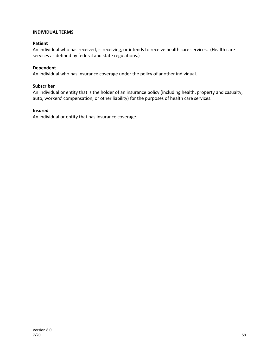#### **INDIVIDUAL TERMS**

#### **Patient**

An individual who has received, is receiving, or intends to receive health care services. (Health care services as defined by federal and state regulations.)

#### **Dependent**

An individual who has insurance coverage under the policy of another individual.

#### **Subscriber**

An individual or entity that is the holder of an insurance policy (including health, property and casualty, auto, workers' compensation, or other liability) for the purposes of health care services.

#### **Insured**

An individual or entity that has insurance coverage.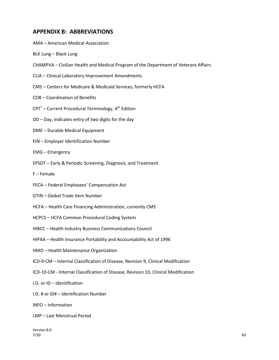## **APPENDIX B: ABBREVIATIONS**

- AMA American Medical Association
- BLK Lung Black Lung
- CHAMPVA Civilian Health and Medical Program of the Department of Veterans Affairs
- CLIA Clinical Laboratory Improvement Amendments
- CMS Centers for Medicare & Medicaid Services, formerly HCFA
- COB Coordination of Benefits
- $CPT<sup>°</sup>$  Current Procedural Terminology,  $4<sup>th</sup>$  Edition
- DD Day, indicates entry of two digits for the day
- DME Durable Medical Equipment
- EIN Employer Identification Number
- EMG Emergency
- EPSDT Early & Periodic Screening, Diagnosis, and Treatment
- F Female
- FECA Federal Employees' Compensation Act
- GTIN Global Trade Item Number
- HCFA Health Care Financing Administration, currently CMS
- HCPCS HCFA Common Procedural Coding System
- HIBCC Health Industry Business Communications Council
- HIPAA Health Insurance Portability and Accountability Act of 1996
- HMO Health Maintenance Organization
- ICD-9-CM Internal Classification of Disease, Revision 9, Clinical Modification
- ICD-10-CM Internal Classification of Disease, Revision 10, Clinical Modification
- I.D. or ID Identification
- I.D. # or ID# Identification Number
- INFO Information
- LMP Last Menstrual Period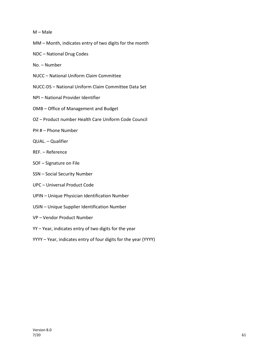#### M – Male

- MM Month, indicates entry of two digits for the month
- NDC National Drug Codes
- No. Number
- NUCC National Uniform Claim Committee
- NUCC-DS National Uniform Claim Committee Data Set
- NPI National Provider Identifier
- OMB Office of Management and Budget
- OZ Product number Health Care Uniform Code Council
- PH # Phone Number
- QUAL. Qualifier
- REF. Reference
- SOF Signature on File
- SSN Social Security Number
- UPC Universal Product Code
- UPIN Unique Physician Identification Number
- USIN Unique Supplier Identification Number
- VP Vendor Product Number
- YY Year, indicates entry of two digits for the year
- YYYY Year, indicates entry of four digits for the year (YYYY)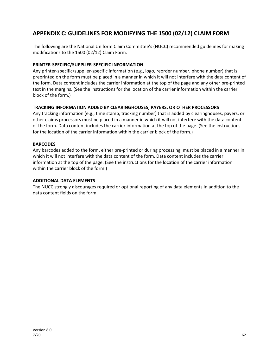## **APPENDIX C: GUIDELINES FOR MODIFYING THE 1500 (02/12) CLAIM FORM**

The following are the National Uniform Claim Committee's (NUCC) recommended guidelines for making modifications to the 1500 (02/12) Claim Form.

#### **PRINTER-SPECIFIC/SUPPLIER-SPECIFIC INFORMATION**

Any printer-specific/supplier-specific information (e.g., logo, reorder number, phone number) that is preprinted on the form must be placed in a manner in which it will not interfere with the data content of the form. Data content includes the carrier information at the top of the page and any other pre-printed text in the margins. (See the instructions for the location of the carrier information within the carrier block of the form.)

#### **TRACKING INFORMATION ADDED BY CLEARINGHOUSES, PAYERS, OR OTHER PROCESSORS**

Any tracking information (e.g., time stamp, tracking number) that is added by clearinghouses, payers, or other claims processors must be placed in a manner in which it will not interfere with the data content of the form. Data content includes the carrier information at the top of the page. (See the instructions for the location of the carrier information within the carrier block of the form.)

#### **BARCODES**

Any barcodes added to the form, either pre-printed or during processing, must be placed in a manner in which it will not interfere with the data content of the form. Data content includes the carrier information at the top of the page. (See the instructions for the location of the carrier information within the carrier block of the form.)

#### **ADDITIONAL DATA ELEMENTS**

The NUCC strongly discourages required or optional reporting of any data elements in addition to the data content fields on the form.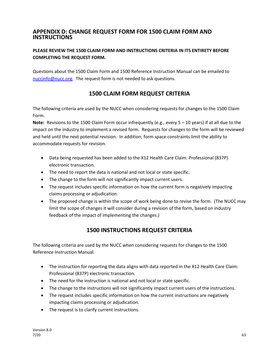## **APPENDIX D: CHANGE REQUEST FORM FOR 1500 CLAIM FORM AND INSTRUCTIONS**

## **PLEASE REVIEW THE 1500 CLAIM FORM AND INSTRUCTIONS CRITERIA IN ITS ENTIRETY BEFORE COMPLETING THE REQUEST FORM.**

Questions about the 1500 Claim Form and 1500 Reference Instruction Manual can be emailed to [nuccinfo@nucc.org.](mailto:nuccinfo@nucc.org) The request form is not needed to ask questions.

## **1500 CLAIM FORM REQUEST CRITERIA**

The following criteria are used by the NUCC when considering requests for changes to the 1500 Claim Form.

**Note:** Revisions to the 1500 Claim Form occur infrequently (e.g., every 5 – 10 years) if at all due to the impact on the industry to implement a revised form. Requests for changes to the form will be reviewed and held until the next potential revision. In addition, form space constraints limit the ability to accommodate requests for revision.

- Data being requested has been added to the X12 Health Care Claim: Professional (837P) electronic transaction.
- The need to report the data is national and not local or state specific.
- The change to the form will not significantly impact current users.
- The request includes specific information on how the current form is negatively impacting claims processing or adjudication.
- The proposed change is within the scope of work being done to revise the form. (The NUCC may limit the scope of changes it will consider during a revision of the form, based on industry feedback of the impact of implementing the changes.)

## **1500 INSTRUCTIONS REQUEST CRITERIA**

The following criteria are used by the NUCC when considering requests for changes to the 1500 Reference Instruction Manual.

- The instruction for reporting the data aligns with data reported in the X12 Health Care Claim: Professional (837P) electronic transaction.
- The need for the instruction is national and not local or state specific.
- The change to the instructions will not significantly impact current users of the instructions.
- The request includes specific information on how the current instructions are negatively impacting claims processing or adjudication.
- The request is to clarify current instructions.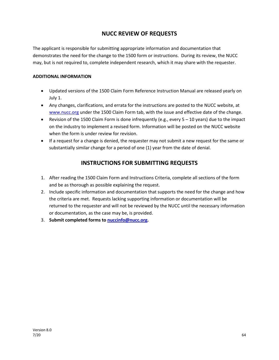## **NUCC REVIEW OF REQUESTS**

The applicant is responsible for submitting appropriate information and documentation that demonstrates the need for the change to the 1500 form or instructions. During its review, the NUCC may, but is not required to, complete independent research, which it may share with the requester.

#### **ADDITIONAL INFORMATION**

- Updated versions of the 1500 Claim Form Reference Instruction Manual are released yearly on July 1.
- Any changes, clarifications, and errata for the instructions are posted to the NUCC website, at [www.nucc.org](http://www.nucc.org/) under the 1500 Claim Form tab, with the issue and effective date of the change.
- Revision of the 1500 Claim Form is done infrequently (e.g., every  $5 10$  years) due to the impact on the industry to implement a revised form. Information will be posted on the NUCC website when the form is under review for revision.
- If a request for a change is denied, the requester may not submit a new request for the same or substantially similar change for a period of one (1) year from the date of denial.

## **INSTRUCTIONS FOR SUBMITTING REQUESTS**

- 1. After reading the 1500 Claim Form and Instructions Criteria, complete all sections of the form and be as thorough as possible explaining the request.
- 2. Include specific information and documentation that supports the need for the change and how the criteria are met. Requests lacking supporting information or documentation will be returned to the requester and will not be reviewed by the NUCC until the necessary information or documentation, as the case may be, is provided.
- 3. **Submit completed forms t[o nuccinfo@nucc.org.](mailto:nuccinfo@nucc.org)**